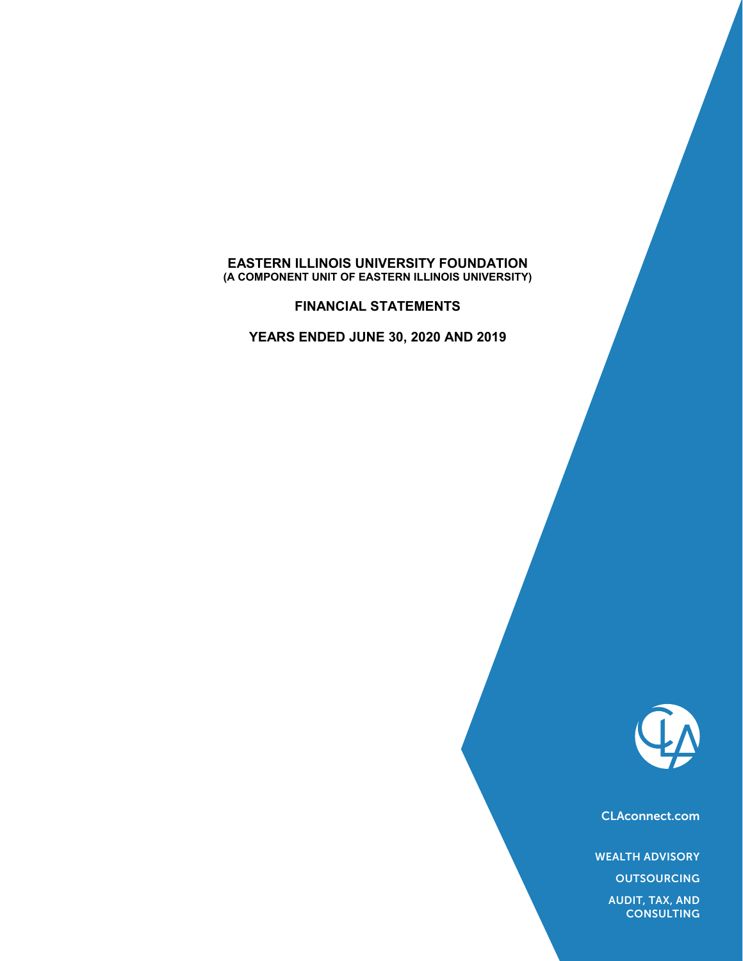#### **EASTERN ILLINOIS UNIVERSITY FOUNDATION (A COMPONENT UNIT OF EASTERN ILLINOIS UNIVERSITY)**

**FINANCIAL STATEMENTS**

**YEARS ENDED JUNE 30, 2020 AND 2019**



CLAconnect.com

WEALTH ADVISORY

**OUTSOURCING** 

AUDIT, TAX, AND **CONSULTING**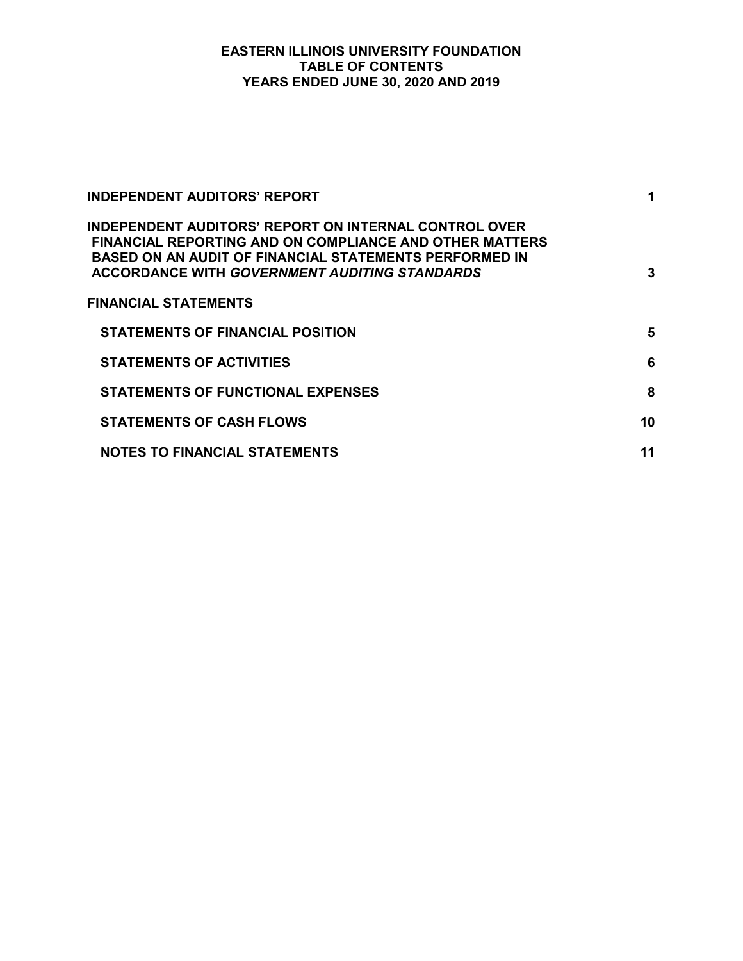## **EASTERN ILLINOIS UNIVERSITY FOUNDATION TABLE OF CONTENTS YEARS ENDED JUNE 30, 2020 AND 2019**

| INDEPENDENT AUDITORS' REPORT                                                                                                                                                                                                              | 1  |
|-------------------------------------------------------------------------------------------------------------------------------------------------------------------------------------------------------------------------------------------|----|
| INDEPENDENT AUDITORS' REPORT ON INTERNAL CONTROL OVER<br>FINANCIAL REPORTING AND ON COMPLIANCE AND OTHER MATTERS<br><b>BASED ON AN AUDIT OF FINANCIAL STATEMENTS PERFORMED IN</b><br><b>ACCORDANCE WITH GOVERNMENT AUDITING STANDARDS</b> | 3  |
| <b>FINANCIAL STATEMENTS</b>                                                                                                                                                                                                               |    |
| <b>STATEMENTS OF FINANCIAL POSITION</b>                                                                                                                                                                                                   | 5  |
| <b>STATEMENTS OF ACTIVITIES</b>                                                                                                                                                                                                           | 6  |
| <b>STATEMENTS OF FUNCTIONAL EXPENSES</b>                                                                                                                                                                                                  | 8  |
| <b>STATEMENTS OF CASH FLOWS</b>                                                                                                                                                                                                           | 10 |
| <b>NOTES TO FINANCIAL STATEMENTS</b>                                                                                                                                                                                                      | 11 |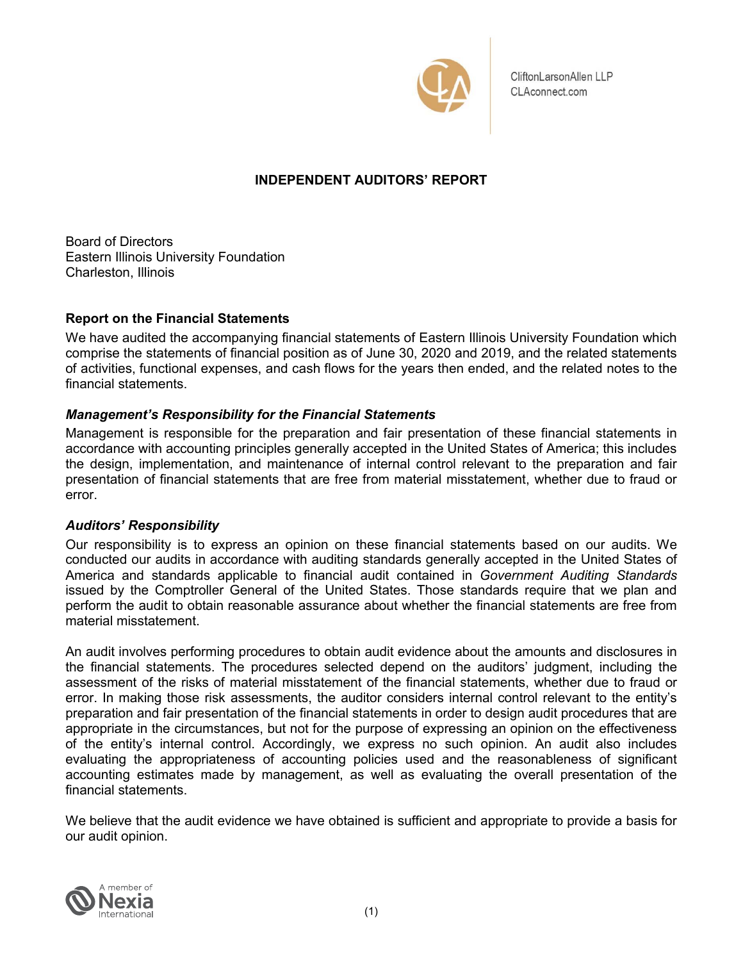

CliftonLarsonAllen LLP CLAconnect.com

# **INDEPENDENT AUDITORS' REPORT**

Board of Directors Eastern Illinois University Foundation Charleston, Illinois

# **Report on the Financial Statements**

We have audited the accompanying financial statements of Eastern Illinois University Foundation which comprise the statements of financial position as of June 30, 2020 and 2019, and the related statements of activities, functional expenses, and cash flows for the years then ended, and the related notes to the financial statements.

# *Management's Responsibility for the Financial Statements*

Management is responsible for the preparation and fair presentation of these financial statements in accordance with accounting principles generally accepted in the United States of America; this includes the design, implementation, and maintenance of internal control relevant to the preparation and fair presentation of financial statements that are free from material misstatement, whether due to fraud or error.

# *Auditors' Responsibility*

Our responsibility is to express an opinion on these financial statements based on our audits. We conducted our audits in accordance with auditing standards generally accepted in the United States of America and standards applicable to financial audit contained in *Government Auditing Standards* issued by the Comptroller General of the United States. Those standards require that we plan and perform the audit to obtain reasonable assurance about whether the financial statements are free from material misstatement.

An audit involves performing procedures to obtain audit evidence about the amounts and disclosures in the financial statements. The procedures selected depend on the auditors' judgment, including the assessment of the risks of material misstatement of the financial statements, whether due to fraud or error. In making those risk assessments, the auditor considers internal control relevant to the entity's preparation and fair presentation of the financial statements in order to design audit procedures that are appropriate in the circumstances, but not for the purpose of expressing an opinion on the effectiveness of the entity's internal control. Accordingly, we express no such opinion. An audit also includes evaluating the appropriateness of accounting policies used and the reasonableness of significant accounting estimates made by management, as well as evaluating the overall presentation of the financial statements.

We believe that the audit evidence we have obtained is sufficient and appropriate to provide a basis for our audit opinion.

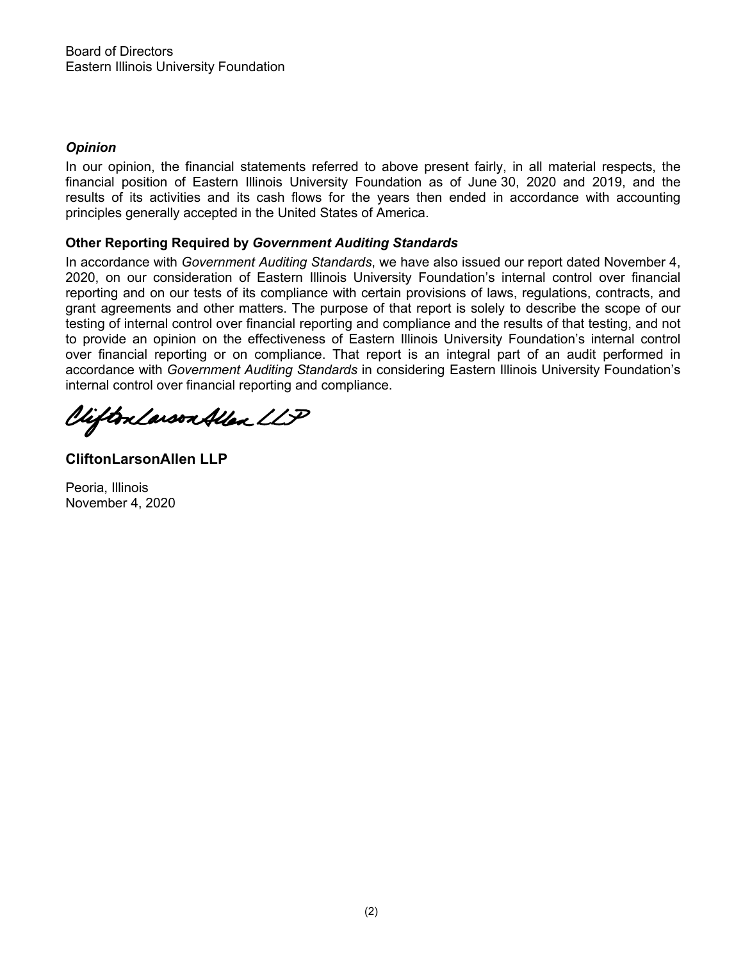# *Opinion*

In our opinion, the financial statements referred to above present fairly, in all material respects, the financial position of Eastern Illinois University Foundation as of June 30, 2020 and 2019, and the results of its activities and its cash flows for the years then ended in accordance with accounting principles generally accepted in the United States of America.

# **Other Reporting Required by** *Government Auditing Standards*

In accordance with *Government Auditing Standards*, we have also issued our report dated November 4, 2020, on our consideration of Eastern Illinois University Foundation's internal control over financial reporting and on our tests of its compliance with certain provisions of laws, regulations, contracts, and grant agreements and other matters. The purpose of that report is solely to describe the scope of our testing of internal control over financial reporting and compliance and the results of that testing, and not to provide an opinion on the effectiveness of Eastern Illinois University Foundation's internal control over financial reporting or on compliance. That report is an integral part of an audit performed in accordance with *Government Auditing Standards* in considering Eastern Illinois University Foundation's internal c ontrol over financial reporting and compliance.

Clifton Larson Allen LLP

**CliftonLarsonAllen LLP**

Peoria, Illinois November 4, 2020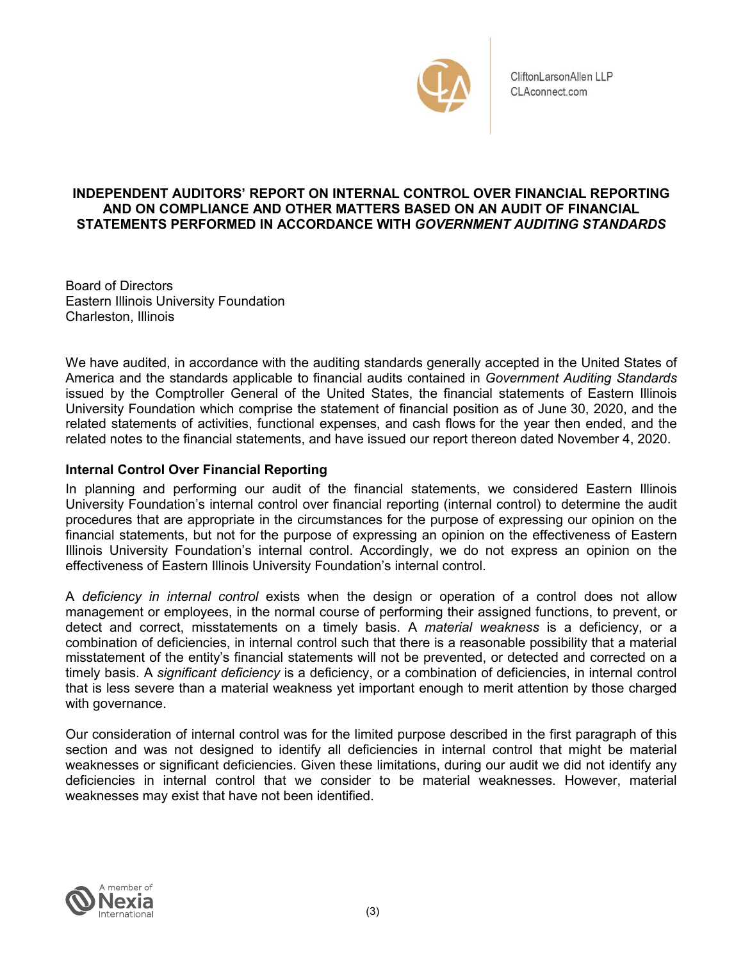

CliftonLarsonAllen LLP CLAconnect.com

## **INDEPENDENT AUDITORS' REPORT ON INTERNAL CONTROL OVER FINANCIAL REPORTING AND ON COMPLIANCE AND OTHER MATTERS BASED ON AN AUDIT OF FINANCIAL STATEMENTS PERFORMED IN ACCORDANCE WITH** *GOVERNMENT AUDITING STANDARDS*

Board of Directors Eastern Illinois University Foundation Charleston, Illinois

We have audited, in accordance with the auditing standards generally accepted in the United States of America and the standards applicable to financial audits contained in *Government Auditing Standards* issued by the Comptroller General of the United States, the financial statements of Eastern Illinois University Foundation which comprise the statement of financial position as of June 30, 2020, and the related statements of activities, functional expenses, and cash flows for the year then ended, and the related notes to the financial statements, and have issued our report thereon dated November 4, 2020.

# **Internal Control Over Financial Reporting**

In planning and performing our audit of the financial statements, we considered Eastern Illinois University Foundation's internal control over financial reporting (internal control) to determine the audit procedures that are appropriate in the circumstances for the purpose of expressing our opinion on the financial statements, but not for the purpose of expressing an opinion on the effectiveness of Eastern Illinois University Foundation's internal control. Accordingly, we do not express an opinion on the effectiveness of Eastern Illinois University Foundation's internal control.

A *deficiency in internal control* exists when the design or operation of a control does not allow management or employees, in the normal course of performing their assigned functions, to prevent, or detect and correct, misstatements on a timely basis. A *material weakness* is a deficiency, or a combination of deficiencies, in internal control such that there is a reasonable possibility that a material misstatement of the entity's financial statements will not be prevented, or detected and corrected on a timely basis. A *significant deficiency* is a deficiency, or a combination of deficiencies, in internal control that is less severe than a material weakness yet important enough to merit attention by those charged with governance.

Our consideration of internal control was for the limited purpose described in the first paragraph of this section and was not designed to identify all deficiencies in internal control that might be material weaknesses or significant deficiencies. Given these limitations, during our audit we did not identify any deficiencies in internal control that we consider to be material weaknesses. However, material weaknesses may exist that have not been identified.

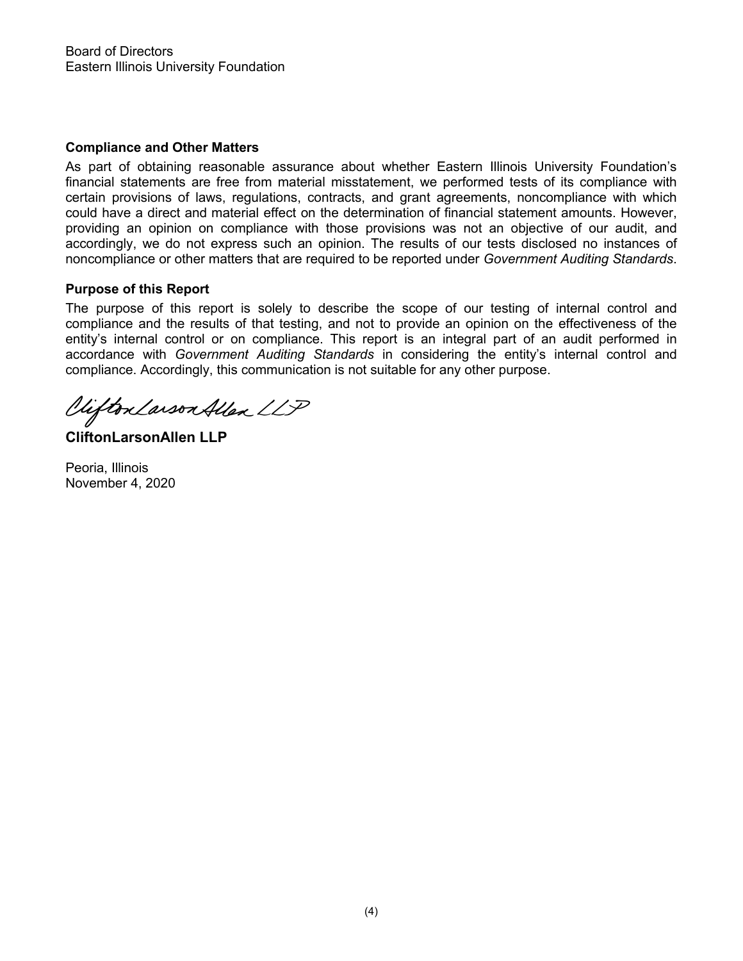## **Compliance and Other Matters**

As part of obtaining reasonable assurance about whether Eastern Illinois University Foundation's financial statements are free from material misstatement, we performed tests of its compliance with certain provisions of laws, regulations, contracts, and grant agreements, noncompliance with which could have a direct and material effect on the determination of financial statement amounts. However, providing an opinion on compliance with those provisions was not an objective of our audit, and accordingly, we do not express such an opinion. The results of our tests disclosed no instances of noncompliance or other matters that are required to be reported under *Government Auditing Standards*.

## **Purpose of this Report**

The purpose of this report is solely to describe the scope of our testing of internal control and compliance and the results of that testing, and not to provide an opinion on the effectiveness of the entity's internal control or on compliance. This report is an integral part of an audit performed in accordance with *Government Auditing Standards* in considering the entity's internal control and compliance. Accordingly, this communication is not suitable for any other purpose.

Viifton Larson Allen LLP

**CliftonLarsonAllen LLP**

Peoria, Illinois November 4, 2020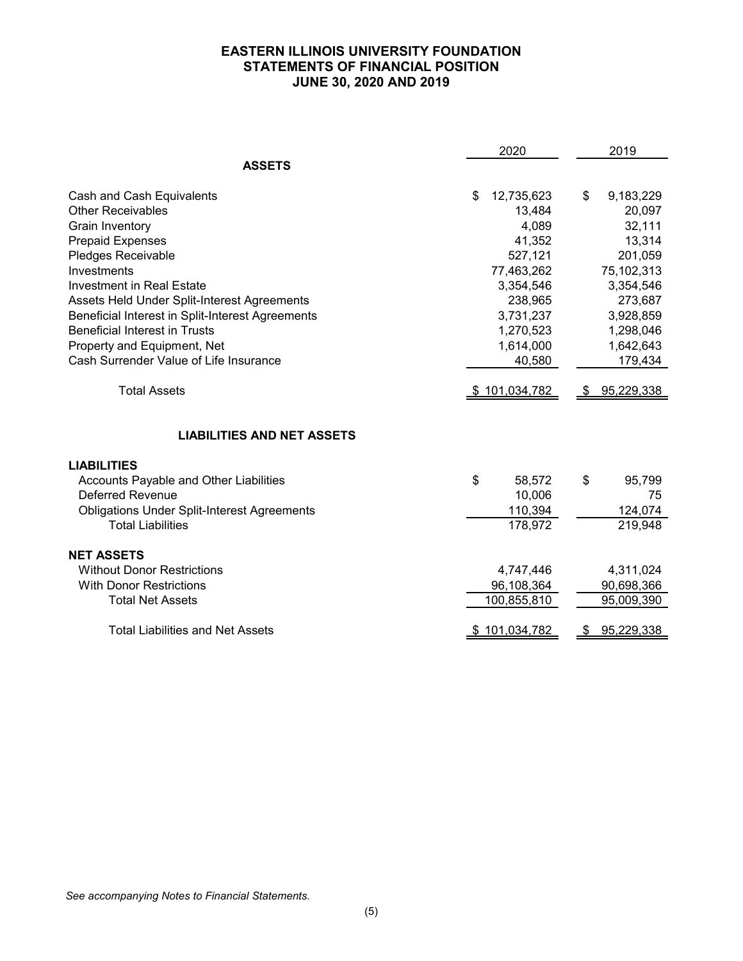# **EASTERN ILLINOIS UNIVERSITY FOUNDATION STATEMENTS OF FINANCIAL POSITION JUNE 30, 2020 AND 2019**

|                                                    | 2020             | 2019              |
|----------------------------------------------------|------------------|-------------------|
| <b>ASSETS</b>                                      |                  |                   |
| Cash and Cash Equivalents                          | 12,735,623<br>\$ | \$<br>9,183,229   |
| <b>Other Receivables</b>                           | 13,484           | 20,097            |
| Grain Inventory                                    | 4,089            | 32,111            |
| <b>Prepaid Expenses</b>                            | 41,352           | 13,314            |
| <b>Pledges Receivable</b>                          | 527,121          | 201,059           |
| Investments                                        | 77,463,262       | 75,102,313        |
| <b>Investment in Real Estate</b>                   | 3,354,546        | 3,354,546         |
| Assets Held Under Split-Interest Agreements        | 238,965          | 273,687           |
| Beneficial Interest in Split-Interest Agreements   | 3,731,237        | 3,928,859         |
| <b>Beneficial Interest in Trusts</b>               | 1,270,523        | 1,298,046         |
| Property and Equipment, Net                        | 1,614,000        | 1,642,643         |
| Cash Surrender Value of Life Insurance             | 40,580           | 179,434           |
| <b>Total Assets</b>                                | \$101,034,782    | <u>95,229,338</u> |
| <b>LIABILITIES AND NET ASSETS</b>                  |                  |                   |
| <b>LIABILITIES</b>                                 |                  |                   |
| Accounts Payable and Other Liabilities             | \$<br>58,572     | \$<br>95,799      |
| <b>Deferred Revenue</b>                            | 10,006           | 75                |
| <b>Obligations Under Split-Interest Agreements</b> | 110,394          | 124,074           |
| <b>Total Liabilities</b>                           | 178,972          | 219,948           |
| <b>NET ASSETS</b>                                  |                  |                   |
| <b>Without Donor Restrictions</b>                  | 4,747,446        | 4,311,024         |
| <b>With Donor Restrictions</b>                     | 96,108,364       | 90,698,366        |
| <b>Total Net Assets</b>                            | 100,855,810      | 95,009,390        |
| <b>Total Liabilities and Net Assets</b>            | \$101,034,782    | 95,229,338<br>æ.  |

*See accompanying Notes to Financial Statements.*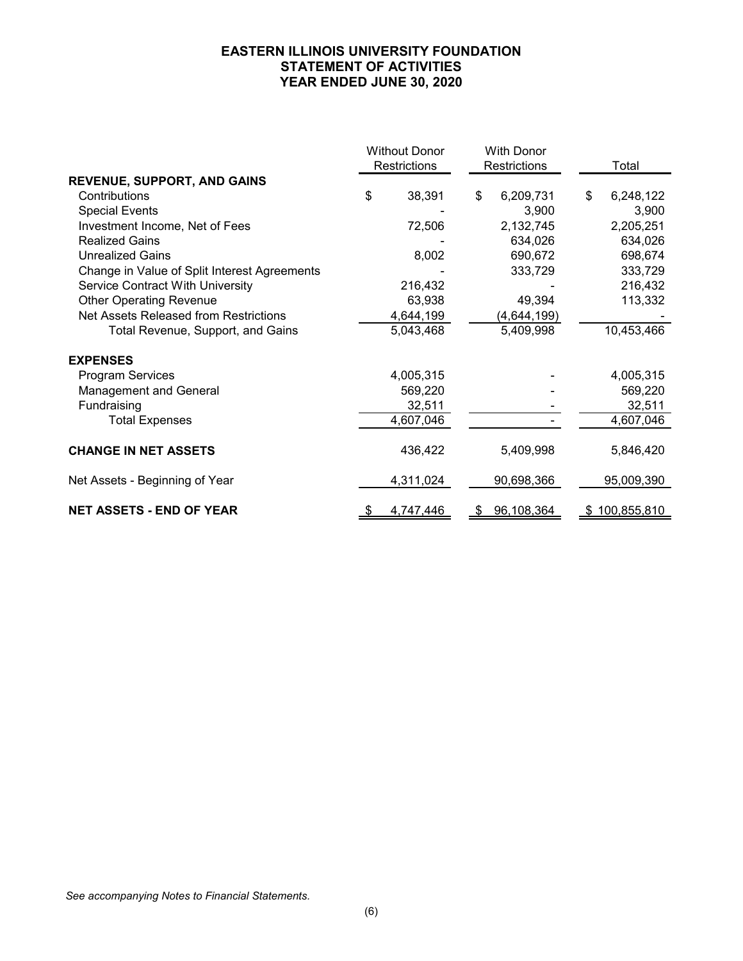## **EASTERN ILLINOIS UNIVERSITY FOUNDATION STATEMENT OF ACTIVITIES YEAR ENDED JUNE 30, 2020**

|                                              | <b>Without Donor</b><br>Restrictions |           | <b>With Donor</b><br>Restrictions |             | Total           |
|----------------------------------------------|--------------------------------------|-----------|-----------------------------------|-------------|-----------------|
| <b>REVENUE, SUPPORT, AND GAINS</b>           |                                      |           |                                   |             |                 |
| Contributions                                | \$                                   | 38,391    | \$                                | 6,209,731   | \$<br>6,248,122 |
| <b>Special Events</b>                        |                                      |           |                                   | 3,900       | 3,900           |
| Investment Income, Net of Fees               |                                      | 72,506    |                                   | 2,132,745   | 2,205,251       |
| <b>Realized Gains</b>                        |                                      |           |                                   | 634,026     | 634,026         |
| <b>Unrealized Gains</b>                      |                                      | 8,002     |                                   | 690,672     | 698,674         |
| Change in Value of Split Interest Agreements |                                      |           |                                   | 333,729     | 333,729         |
| <b>Service Contract With University</b>      |                                      | 216,432   |                                   |             | 216,432         |
| <b>Other Operating Revenue</b>               |                                      | 63,938    |                                   | 49,394      | 113,332         |
| Net Assets Released from Restrictions        |                                      | 4,644,199 |                                   | (4,644,199) |                 |
| Total Revenue, Support, and Gains            |                                      | 5,043,468 |                                   | 5,409,998   | 10,453,466      |
| <b>EXPENSES</b>                              |                                      |           |                                   |             |                 |
| Program Services                             |                                      | 4,005,315 |                                   |             | 4,005,315       |
| Management and General                       |                                      | 569,220   |                                   |             | 569,220         |
| Fundraising                                  |                                      | 32,511    |                                   |             | 32,511          |
| <b>Total Expenses</b>                        |                                      | 4,607,046 |                                   |             | 4,607,046       |
| <b>CHANGE IN NET ASSETS</b>                  |                                      | 436,422   |                                   | 5,409,998   | 5,846,420       |
| Net Assets - Beginning of Year               |                                      | 4,311,024 |                                   | 90,698,366  | 95,009,390      |
| <b>NET ASSETS - END OF YEAR</b>              | \$                                   | 4,747,446 | S                                 | 96,108,364  | \$100,855,810   |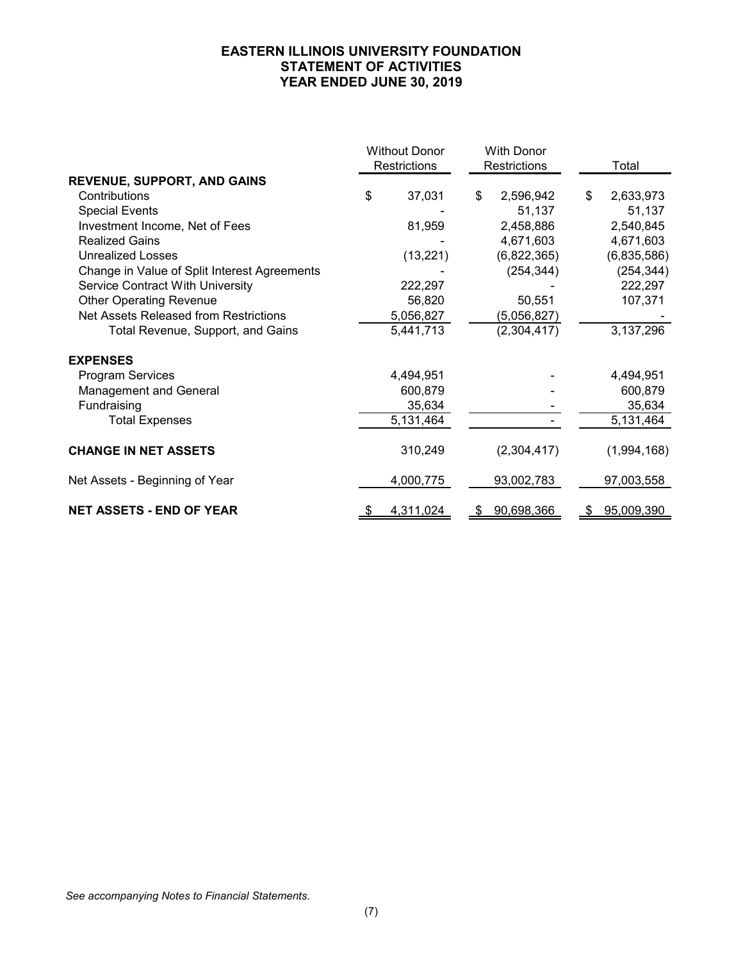## **EASTERN ILLINOIS UNIVERSITY FOUNDATION STATEMENT OF ACTIVITIES YEAR ENDED JUNE 30, 2019**

|                                              | <b>Without Donor</b><br>Restrictions |           | <b>With Donor</b><br>Restrictions |    | Total       |
|----------------------------------------------|--------------------------------------|-----------|-----------------------------------|----|-------------|
| <b>REVENUE, SUPPORT, AND GAINS</b>           |                                      |           |                                   |    |             |
| Contributions                                | \$                                   | 37,031    | \$<br>2,596,942                   | \$ | 2,633,973   |
| <b>Special Events</b>                        |                                      |           | 51,137                            |    | 51,137      |
| Investment Income, Net of Fees               |                                      | 81,959    | 2,458,886                         |    | 2,540,845   |
| <b>Realized Gains</b>                        |                                      |           | 4,671,603                         |    | 4,671,603   |
| <b>Unrealized Losses</b>                     |                                      | (13, 221) | (6,822,365)                       |    | (6,835,586) |
| Change in Value of Split Interest Agreements |                                      |           | (254, 344)                        |    | (254, 344)  |
| <b>Service Contract With University</b>      |                                      | 222,297   |                                   |    | 222,297     |
| <b>Other Operating Revenue</b>               |                                      | 56,820    | 50,551                            |    | 107,371     |
| Net Assets Released from Restrictions        |                                      | 5,056,827 | (5,056,827)                       |    |             |
| Total Revenue, Support, and Gains            |                                      | 5,441,713 | (2,304,417)                       |    | 3,137,296   |
| <b>EXPENSES</b>                              |                                      |           |                                   |    |             |
| <b>Program Services</b>                      |                                      | 4,494,951 |                                   |    | 4,494,951   |
| <b>Management and General</b>                |                                      | 600,879   |                                   |    | 600,879     |
| Fundraising                                  |                                      | 35,634    |                                   |    | 35,634      |
| <b>Total Expenses</b>                        |                                      | 5,131,464 |                                   |    | 5,131,464   |
| <b>CHANGE IN NET ASSETS</b>                  |                                      | 310,249   | (2,304,417)                       |    | (1,994,168) |
| Net Assets - Beginning of Year               |                                      | 4,000,775 | 93,002,783                        |    | 97,003,558  |
| <b>NET ASSETS - END OF YEAR</b>              | S                                    | 4,311,024 | \$<br>90,698,366                  | \$ | 95,009,390  |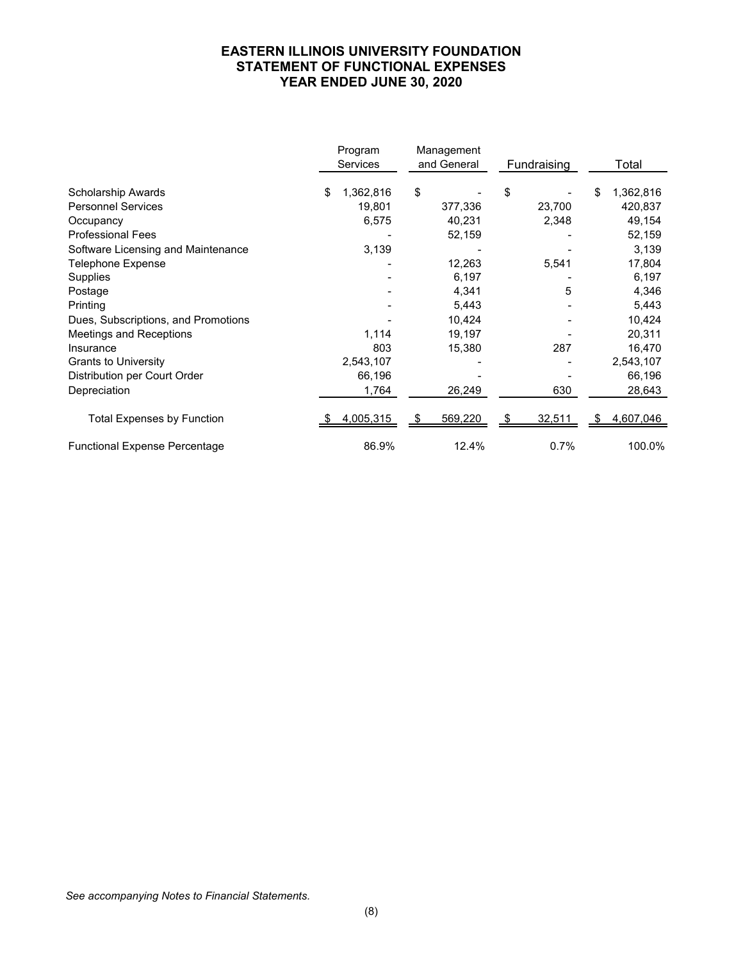## **EASTERN ILLINOIS UNIVERSITY FOUNDATION STATEMENT OF FUNCTIONAL EXPENSES YEAR ENDED JUNE 30, 2020**

|                                      | Program<br><b>Services</b> | Management<br>and General | Fundraising | Total           |
|--------------------------------------|----------------------------|---------------------------|-------------|-----------------|
| Scholarship Awards                   | 1,362,816<br>\$            | \$                        | \$          | 1,362,816<br>\$ |
| <b>Personnel Services</b>            | 19,801                     | 377,336                   | 23,700      | 420,837         |
| Occupancy                            | 6,575                      | 40,231                    | 2,348       | 49,154          |
| <b>Professional Fees</b>             |                            | 52,159                    |             | 52,159          |
| Software Licensing and Maintenance   | 3,139                      |                           |             | 3,139           |
| <b>Telephone Expense</b>             |                            | 12,263                    | 5,541       | 17,804          |
| Supplies                             |                            | 6,197                     |             | 6,197           |
| Postage                              |                            | 4,341                     | 5           | 4,346           |
| Printing                             |                            | 5,443                     |             | 5,443           |
| Dues, Subscriptions, and Promotions  |                            | 10,424                    |             | 10,424          |
| Meetings and Receptions              | 1,114                      | 19,197                    |             | 20,311          |
| Insurance                            | 803                        | 15,380                    | 287         | 16,470          |
| <b>Grants to University</b>          | 2,543,107                  |                           |             | 2,543,107       |
| Distribution per Court Order         | 66,196                     |                           |             | 66,196          |
| Depreciation                         | 1,764                      | 26,249                    | 630         | 28,643          |
| <b>Total Expenses by Function</b>    | 4,005,315                  | 569,220                   | 32,511      | 4,607,046       |
| <b>Functional Expense Percentage</b> | 86.9%                      | 12.4%                     | 0.7%        | 100.0%          |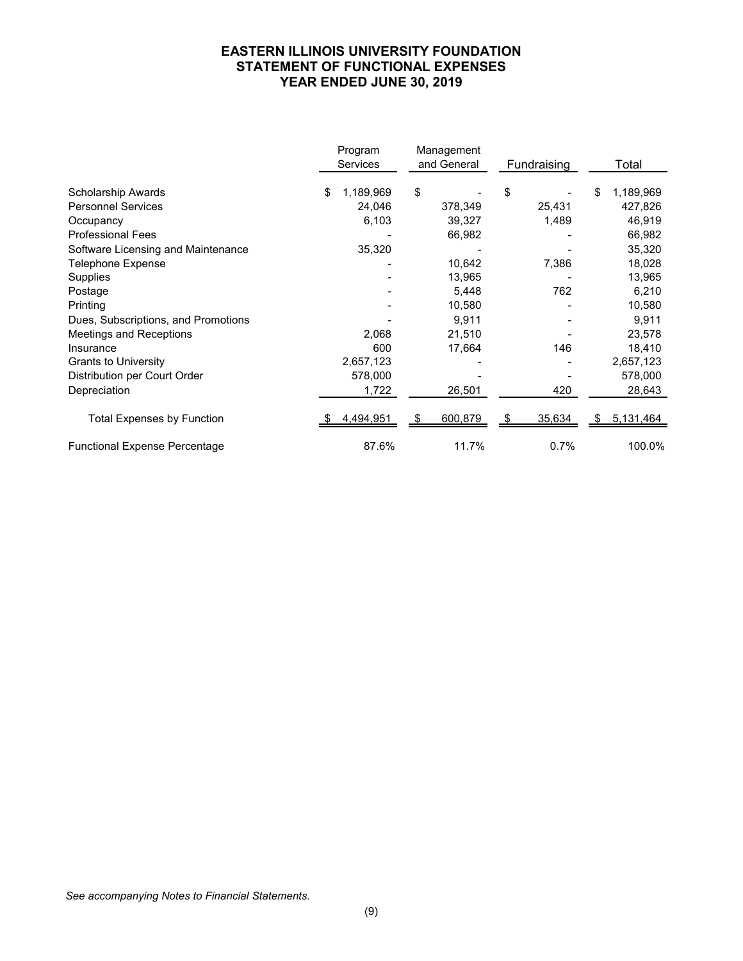## **EASTERN ILLINOIS UNIVERSITY FOUNDATION STATEMENT OF FUNCTIONAL EXPENSES YEAR ENDED JUNE 30, 2019**

|                                      | Program<br>Services | Management<br>and General | Fundraising | Total           |
|--------------------------------------|---------------------|---------------------------|-------------|-----------------|
| Scholarship Awards                   | 1,189,969<br>\$     | \$                        | \$          | 1,189,969<br>\$ |
| <b>Personnel Services</b>            | 24,046              | 378,349                   | 25,431      | 427,826         |
| Occupancy                            | 6,103               | 39,327                    | 1,489       | 46,919          |
| <b>Professional Fees</b>             |                     | 66,982                    |             | 66,982          |
| Software Licensing and Maintenance   | 35,320              |                           |             | 35,320          |
| <b>Telephone Expense</b>             |                     | 10,642                    | 7,386       | 18,028          |
| Supplies                             |                     | 13,965                    |             | 13,965          |
| Postage                              |                     | 5,448                     | 762         | 6,210           |
| Printing                             |                     | 10,580                    |             | 10,580          |
| Dues, Subscriptions, and Promotions  |                     | 9,911                     |             | 9,911           |
| Meetings and Receptions              | 2,068               | 21,510                    |             | 23,578          |
| Insurance                            | 600                 | 17,664                    | 146         | 18,410          |
| <b>Grants to University</b>          | 2,657,123           |                           |             | 2,657,123       |
| Distribution per Court Order         | 578,000             |                           |             | 578,000         |
| Depreciation                         | 1,722               | 26,501                    | 420         | 28,643          |
| <b>Total Expenses by Function</b>    | 4,494,951           | 600,879                   | 35,634      | 5,131,464       |
| <b>Functional Expense Percentage</b> | 87.6%               | 11.7%                     | 0.7%        | 100.0%          |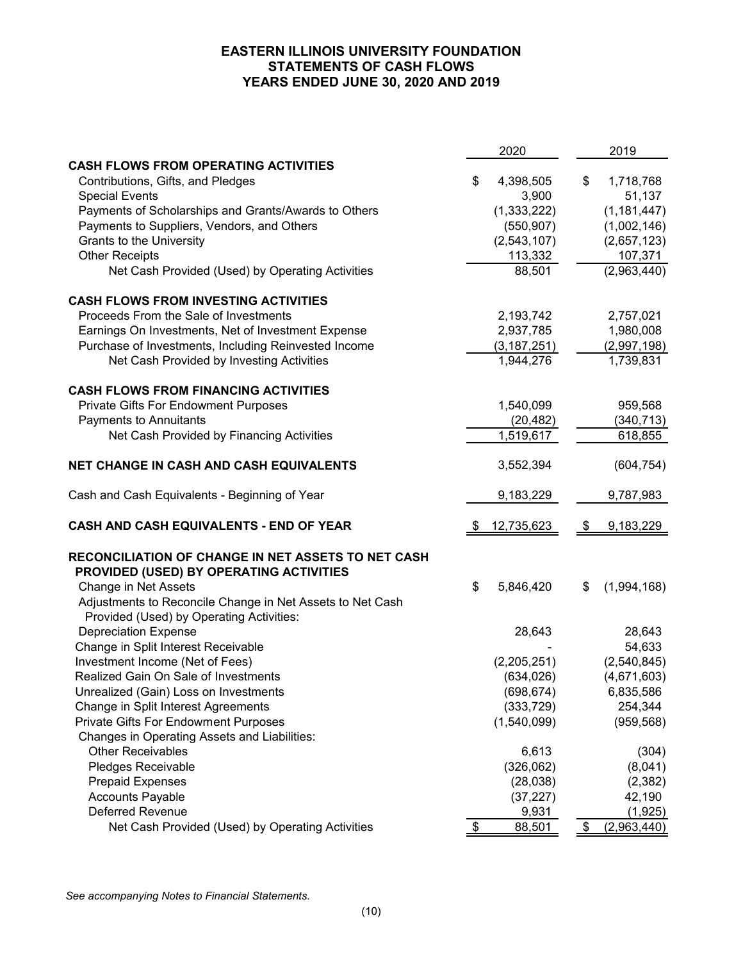## **EASTERN ILLINOIS UNIVERSITY FOUNDATION STATEMENTS OF CASH FLOWS YEARS ENDED JUNE 30, 2020 AND 2019**

|                                                                                                       | 2020                   | 2019              |
|-------------------------------------------------------------------------------------------------------|------------------------|-------------------|
| <b>CASH FLOWS FROM OPERATING ACTIVITIES</b>                                                           |                        |                   |
| Contributions, Gifts, and Pledges                                                                     | \$<br>4,398,505        | \$<br>1,718,768   |
| <b>Special Events</b>                                                                                 | 3,900                  | 51,137            |
| Payments of Scholarships and Grants/Awards to Others                                                  | (1, 333, 222)          | (1, 181, 447)     |
| Payments to Suppliers, Vendors, and Others                                                            | (550, 907)             | (1,002,146)       |
| Grants to the University                                                                              | (2,543,107)            | (2,657,123)       |
| <b>Other Receipts</b>                                                                                 | 113,332                | 107,371           |
| Net Cash Provided (Used) by Operating Activities                                                      | 88,501                 | (2,963,440)       |
| <b>CASH FLOWS FROM INVESTING ACTIVITIES</b>                                                           |                        |                   |
| Proceeds From the Sale of Investments                                                                 | 2,193,742              | 2,757,021         |
| Earnings On Investments, Net of Investment Expense                                                    | 2,937,785              | 1,980,008         |
| Purchase of Investments, Including Reinvested Income                                                  | (3, 187, 251)          | (2,997,198)       |
| Net Cash Provided by Investing Activities                                                             | 1,944,276              | 1,739,831         |
| <b>CASH FLOWS FROM FINANCING ACTIVITIES</b>                                                           |                        |                   |
| Private Gifts For Endowment Purposes                                                                  | 1,540,099              | 959,568           |
| Payments to Annuitants                                                                                | (20, 482)              | (340, 713)        |
| Net Cash Provided by Financing Activities                                                             | 1,519,617              | 618,855           |
| NET CHANGE IN CASH AND CASH EQUIVALENTS                                                               | 3,552,394              | (604, 754)        |
| Cash and Cash Equivalents - Beginning of Year                                                         | 9,183,229              | 9,787,983         |
| CASH AND CASH EQUIVALENTS - END OF YEAR                                                               | \$<br>12,735,623       | \$<br>9,183,229   |
| RECONCILIATION OF CHANGE IN NET ASSETS TO NET CASH                                                    |                        |                   |
| PROVIDED (USED) BY OPERATING ACTIVITIES                                                               |                        |                   |
| Change in Net Assets                                                                                  | \$<br>5,846,420        | \$<br>(1,994,168) |
| Adjustments to Reconcile Change in Net Assets to Net Cash<br>Provided (Used) by Operating Activities: |                        |                   |
| <b>Depreciation Expense</b>                                                                           | 28,643                 | 28,643            |
| Change in Split Interest Receivable                                                                   |                        | 54,633            |
| Investment Income (Net of Fees)                                                                       | (2,205,251)            | (2,540,845)       |
| Realized Gain On Sale of Investments                                                                  | (634, 026)             | (4,671,603)       |
| Unrealized (Gain) Loss on Investments                                                                 | (698, 674)             | 6,835,586         |
| Change in Split Interest Agreements                                                                   | (333, 729)             | 254,344           |
| <b>Private Gifts For Endowment Purposes</b>                                                           | (1,540,099)            | (959, 568)        |
| Changes in Operating Assets and Liabilities:                                                          |                        |                   |
| <b>Other Receivables</b>                                                                              | 6,613                  | (304)             |
| Pledges Receivable                                                                                    | (326,062)              | (8,041)           |
| <b>Prepaid Expenses</b>                                                                               |                        | (2, 382)          |
|                                                                                                       | (28, 038)<br>(37, 227) |                   |
| <b>Accounts Payable</b><br><b>Deferred Revenue</b>                                                    | 9,931                  | 42,190<br>(1,925) |
| Net Cash Provided (Used) by Operating Activities                                                      | \$<br>88,501           | \$<br>(2,963,440) |
|                                                                                                       |                        |                   |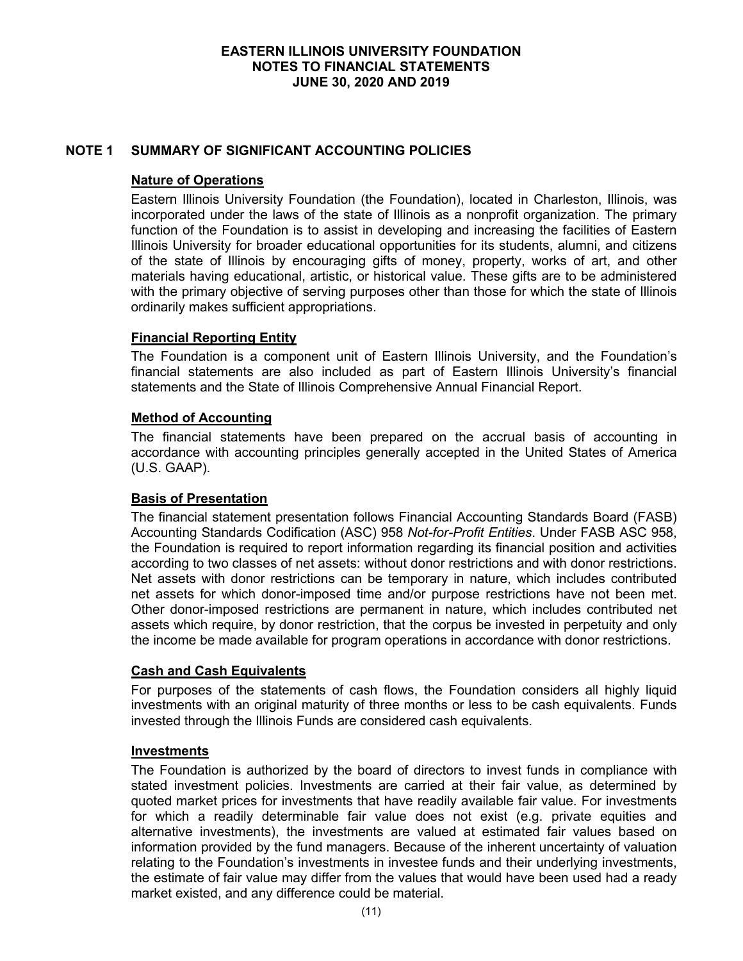# **NOTE 1 SUMMARY OF SIGNIFICANT ACCOUNTING POLICIES**

## **Nature of Operations**

Eastern Illinois University Foundation (the Foundation), located in Charleston, Illinois, was incorporated under the laws of the state of Illinois as a nonprofit organization. The primary function of the Foundation is to assist in developing and increasing the facilities of Eastern Illinois University for broader educational opportunities for its students, alumni, and citizens of the state of Illinois by encouraging gifts of money, property, works of art, and other materials having educational, artistic, or historical value. These gifts are to be administered with the primary objective of serving purposes other than those for which the state of Illinois ordinarily makes sufficient appropriations.

# **Financial Reporting Entity**

The Foundation is a component unit of Eastern Illinois University, and the Foundation's financial statements are also included as part of Eastern Illinois University's financial statements and the State of Illinois Comprehensive Annual Financial Report.

# **Method of Accounting**

The financial statements have been prepared on the accrual basis of accounting in accordance with accounting principles generally accepted in the United States of America (U.S. GAAP).

# **Basis of Presentation**

The financial statement presentation follows Financial Accounting Standards Board (FASB) Accounting Standards Codification (ASC) 958 *Not-for-Profit Entities*. Under FASB ASC 958, the Foundation is required to report information regarding its financial position and activities according to two classes of net assets: without donor restrictions and with donor restrictions. Net assets with donor restrictions can be temporary in nature, which includes contributed net assets for which donor-imposed time and/or purpose restrictions have not been met. Other donor-imposed restrictions are permanent in nature, which includes contributed net assets which require, by donor restriction, that the corpus be invested in perpetuity and only the income be made available for program operations in accordance with donor restrictions.

# **Cash and Cash Equivalents**

For purposes of the statements of cash flows, the Foundation considers all highly liquid investments with an original maturity of three months or less to be cash equivalents. Funds invested through the Illinois Funds are considered cash equivalents.

#### **Investments**

The Foundation is authorized by the board of directors to invest funds in compliance with stated investment policies. Investments are carried at their fair value, as determined by quoted market prices for investments that have readily available fair value. For investments for which a readily determinable fair value does not exist (e.g. private equities and alternative investments), the investments are valued at estimated fair values based on information provided by the fund managers. Because of the inherent uncertainty of valuation relating to the Foundation's investments in investee funds and their underlying investments, the estimate of fair value may differ from the values that would have been used had a ready market existed, and any difference could be material.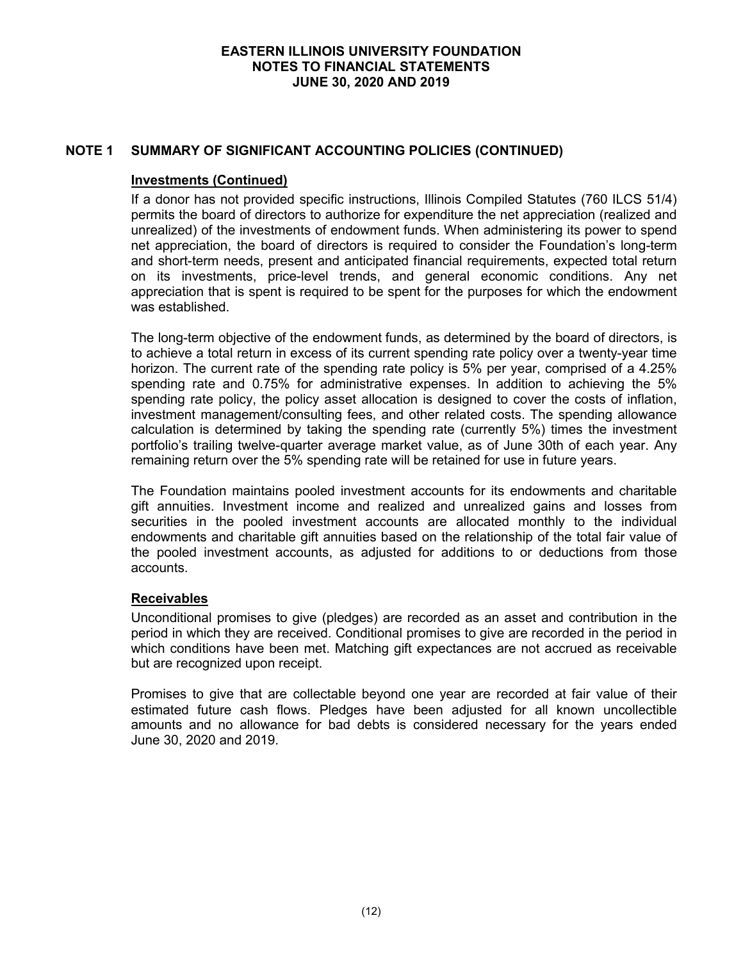# **NOTE 1 SUMMARY OF SIGNIFICANT ACCOUNTING POLICIES (CONTINUED)**

## **Investments (Continued)**

If a donor has not provided specific instructions, Illinois Compiled Statutes (760 ILCS 51/4) permits the board of directors to authorize for expenditure the net appreciation (realized and unrealized) of the investments of endowment funds. When administering its power to spend net appreciation, the board of directors is required to consider the Foundation's long-term and short-term needs, present and anticipated financial requirements, expected total return on its investments, price-level trends, and general economic conditions. Any net appreciation that is spent is required to be spent for the purposes for which the endowment was established.

The long-term objective of the endowment funds, as determined by the board of directors, is to achieve a total return in excess of its current spending rate policy over a twenty-year time horizon. The current rate of the spending rate policy is 5% per year, comprised of a 4.25% spending rate and 0.75% for administrative expenses. In addition to achieving the 5% spending rate policy, the policy asset allocation is designed to cover the costs of inflation, investment management/consulting fees, and other related costs. The spending allowance calculation is determined by taking the spending rate (currently 5%) times the investment portfolio's trailing twelve-quarter average market value, as of June 30th of each year. Any remaining return over the 5% spending rate will be retained for use in future years.

The Foundation maintains pooled investment accounts for its endowments and charitable gift annuities. Investment income and realized and unrealized gains and losses from securities in the pooled investment accounts are allocated monthly to the individual endowments and charitable gift annuities based on the relationship of the total fair value of the pooled investment accounts, as adjusted for additions to or deductions from those accounts.

# **Receivables**

Unconditional promises to give (pledges) are recorded as an asset and contribution in the period in which they are received. Conditional promises to give are recorded in the period in which conditions have been met. Matching gift expectances are not accrued as receivable but are recognized upon receipt.

Promises to give that are collectable beyond one year are recorded at fair value of their estimated future cash flows. Pledges have been adjusted for all known uncollectible amounts and no allowance for bad debts is considered necessary for the years ended June 30, 2020 and 2019.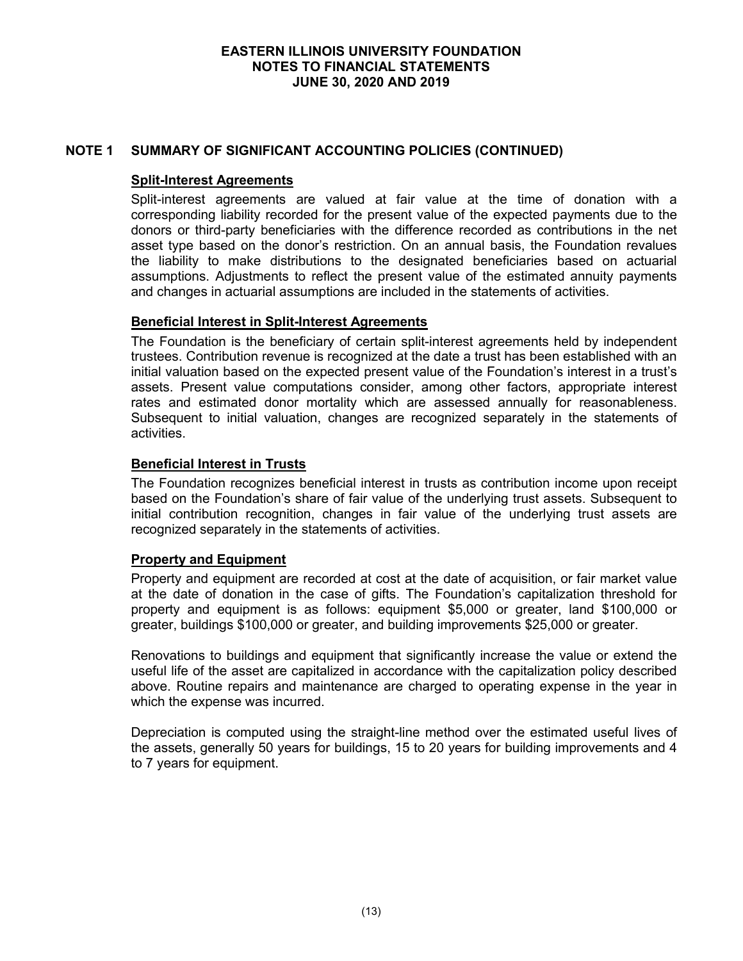# **NOTE 1 SUMMARY OF SIGNIFICANT ACCOUNTING POLICIES (CONTINUED)**

# **Split-Interest Agreements**

Split-interest agreements are valued at fair value at the time of donation with a corresponding liability recorded for the present value of the expected payments due to the donors or third-party beneficiaries with the difference recorded as contributions in the net asset type based on the donor's restriction. On an annual basis, the Foundation revalues the liability to make distributions to the designated beneficiaries based on actuarial assumptions. Adjustments to reflect the present value of the estimated annuity payments and changes in actuarial assumptions are included in the statements of activities.

## **Beneficial Interest in Split-Interest Agreements**

The Foundation is the beneficiary of certain split-interest agreements held by independent trustees. Contribution revenue is recognized at the date a trust has been established with an initial valuation based on the expected present value of the Foundation's interest in a trust's assets. Present value computations consider, among other factors, appropriate interest rates and estimated donor mortality which are assessed annually for reasonableness. Subsequent to initial valuation, changes are recognized separately in the statements of activities.

## **Beneficial Interest in Trusts**

The Foundation recognizes beneficial interest in trusts as contribution income upon receipt based on the Foundation's share of fair value of the underlying trust assets. Subsequent to initial contribution recognition, changes in fair value of the underlying trust assets are recognized separately in the statements of activities.

# **Property and Equipment**

Property and equipment are recorded at cost at the date of acquisition, or fair market value at the date of donation in the case of gifts. The Foundation's capitalization threshold for property and equipment is as follows: equipment \$5,000 or greater, land \$100,000 or greater, buildings \$100,000 or greater, and building improvements \$25,000 or greater.

Renovations to buildings and equipment that significantly increase the value or extend the useful life of the asset are capitalized in accordance with the capitalization policy described above. Routine repairs and maintenance are charged to operating expense in the year in which the expense was incurred.

Depreciation is computed using the straight-line method over the estimated useful lives of the assets, generally 50 years for buildings, 15 to 20 years for building improvements and 4 to 7 years for equipment.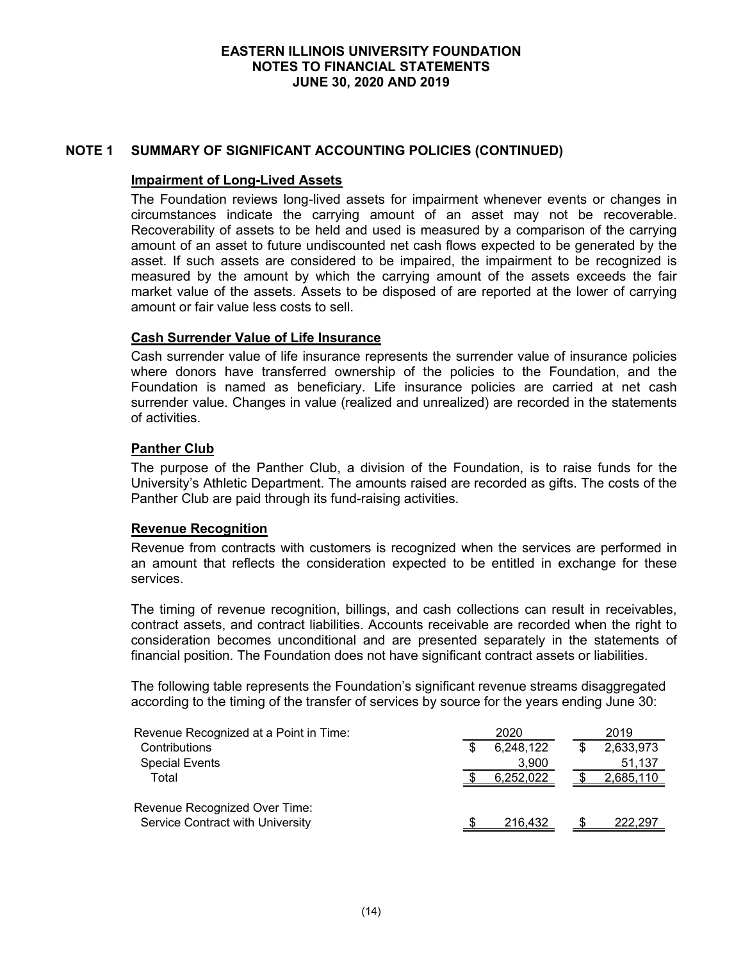# **NOTE 1 SUMMARY OF SIGNIFICANT ACCOUNTING POLICIES (CONTINUED)**

## **Impairment of Long-Lived Assets**

The Foundation reviews long-lived assets for impairment whenever events or changes in circumstances indicate the carrying amount of an asset may not be recoverable. Recoverability of assets to be held and used is measured by a comparison of the carrying amount of an asset to future undiscounted net cash flows expected to be generated by the asset. If such assets are considered to be impaired, the impairment to be recognized is measured by the amount by which the carrying amount of the assets exceeds the fair market value of the assets. Assets to be disposed of are reported at the lower of carrying amount or fair value less costs to sell.

## **Cash Surrender Value of Life Insurance**

Cash surrender value of life insurance represents the surrender value of insurance policies where donors have transferred ownership of the policies to the Foundation, and the Foundation is named as beneficiary. Life insurance policies are carried at net cash surrender value. Changes in value (realized and unrealized) are recorded in the statements of activities.

# **Panther Club**

The purpose of the Panther Club, a division of the Foundation, is to raise funds for the University's Athletic Department. The amounts raised are recorded as gifts. The costs of the Panther Club are paid through its fund-raising activities.

#### **Revenue Recognition**

Revenue from contracts with customers is recognized when the services are performed in an amount that reflects the consideration expected to be entitled in exchange for these services.

The timing of revenue recognition, billings, and cash collections can result in receivables, contract assets, and contract liabilities. Accounts receivable are recorded when the right to consideration becomes unconditional and are presented separately in the statements of financial position. The Foundation does not have significant contract assets or liabilities.

The following table represents the Foundation's significant revenue streams disaggregated according to the timing of the transfer of services by source for the years ending June 30:

| Revenue Recognized at a Point in Time:                            | 2020      | 2019      |
|-------------------------------------------------------------------|-----------|-----------|
| Contributions                                                     | 6,248,122 | 2,633,973 |
| <b>Special Events</b>                                             | 3.900     | 51,137    |
| Total                                                             | 6,252,022 | 2,685,110 |
| Revenue Recognized Over Time:<br>Service Contract with University | 216,432   | 222.297   |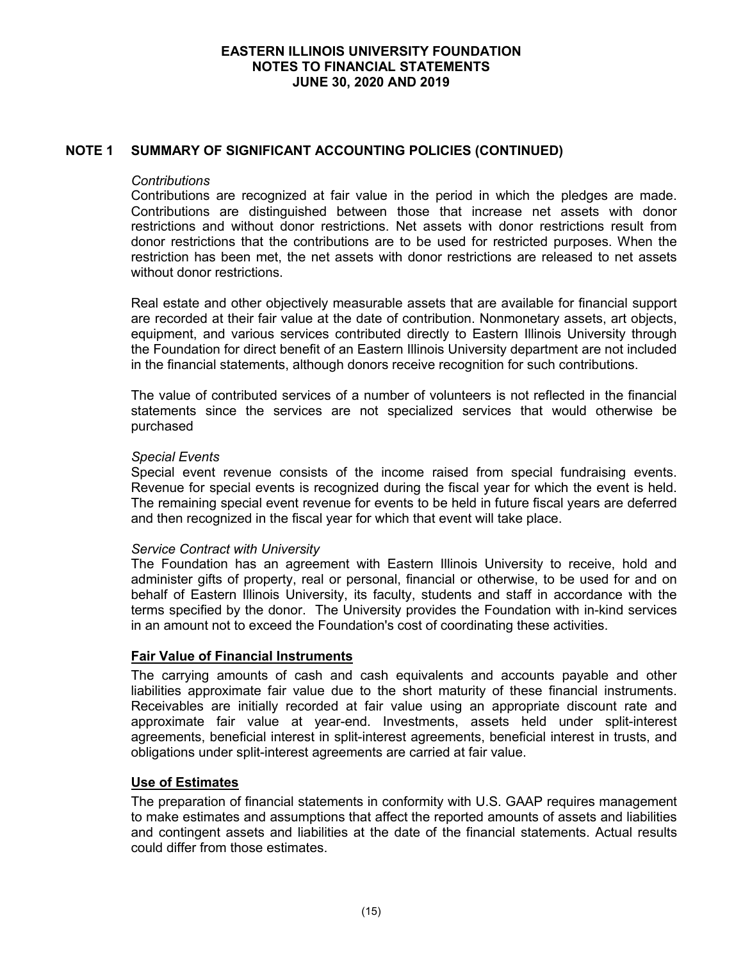# **NOTE 1 SUMMARY OF SIGNIFICANT ACCOUNTING POLICIES (CONTINUED)**

## *Contributions*

Contributions are recognized at fair value in the period in which the pledges are made. Contributions are distinguished between those that increase net assets with donor restrictions and without donor restrictions. Net assets with donor restrictions result from donor restrictions that the contributions are to be used for restricted purposes. When the restriction has been met, the net assets with donor restrictions are released to net assets without donor restrictions.

Real estate and other objectively measurable assets that are available for financial support are recorded at their fair value at the date of contribution. Nonmonetary assets, art objects, equipment, and various services contributed directly to Eastern Illinois University through the Foundation for direct benefit of an Eastern Illinois University department are not included in the financial statements, although donors receive recognition for such contributions.

The value of contributed services of a number of volunteers is not reflected in the financial statements since the services are not specialized services that would otherwise be purchased

#### *Special Events*

Special event revenue consists of the income raised from special fundraising events. Revenue for special events is recognized during the fiscal year for which the event is held. The remaining special event revenue for events to be held in future fiscal years are deferred and then recognized in the fiscal year for which that event will take place.

#### *Service Contract with University*

The Foundation has an agreement with Eastern Illinois University to receive, hold and administer gifts of property, real or personal, financial or otherwise, to be used for and on behalf of Eastern Illinois University, its faculty, students and staff in accordance with the terms specified by the donor. The University provides the Foundation with in-kind services in an amount not to exceed the Foundation's cost of coordinating these activities.

# **Fair Value of Financial Instruments**

The carrying amounts of cash and cash equivalents and accounts payable and other liabilities approximate fair value due to the short maturity of these financial instruments. Receivables are initially recorded at fair value using an appropriate discount rate and approximate fair value at year-end. Investments, assets held under split-interest agreements, beneficial interest in split-interest agreements, beneficial interest in trusts, and obligations under split-interest agreements are carried at fair value.

### **Use of Estimates**

The preparation of financial statements in conformity with U.S. GAAP requires management to make estimates and assumptions that affect the reported amounts of assets and liabilities and contingent assets and liabilities at the date of the financial statements. Actual results could differ from those estimates.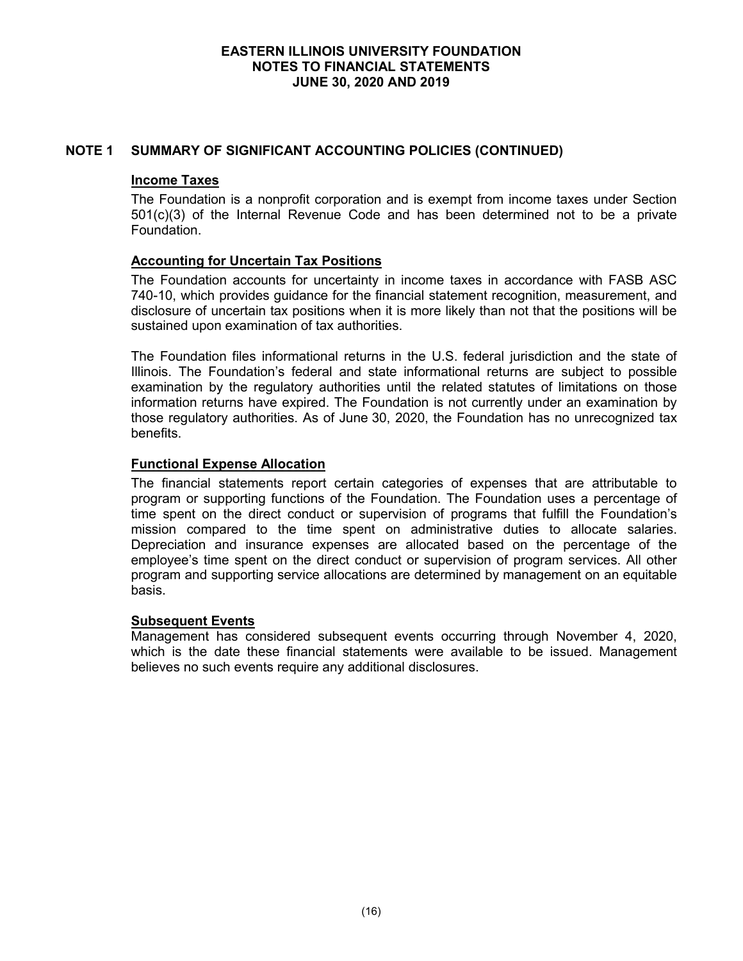# **NOTE 1 SUMMARY OF SIGNIFICANT ACCOUNTING POLICIES (CONTINUED)**

## **Income Taxes**

The Foundation is a nonprofit corporation and is exempt from income taxes under Section 501(c)(3) of the Internal Revenue Code and has been determined not to be a private Foundation.

# **Accounting for Uncertain Tax Positions**

The Foundation accounts for uncertainty in income taxes in accordance with FASB ASC 740-10, which provides guidance for the financial statement recognition, measurement, and disclosure of uncertain tax positions when it is more likely than not that the positions will be sustained upon examination of tax authorities.

The Foundation files informational returns in the U.S. federal jurisdiction and the state of Illinois. The Foundation's federal and state informational returns are subject to possible examination by the regulatory authorities until the related statutes of limitations on those information returns have expired. The Foundation is not currently under an examination by those regulatory authorities. As of June 30, 2020, the Foundation has no unrecognized tax benefits.

# **Functional Expense Allocation**

The financial statements report certain categories of expenses that are attributable to program or supporting functions of the Foundation. The Foundation uses a percentage of time spent on the direct conduct or supervision of programs that fulfill the Foundation's mission compared to the time spent on administrative duties to allocate salaries. Depreciation and insurance expenses are allocated based on the percentage of the employee's time spent on the direct conduct or supervision of program services. All other program and supporting service allocations are determined by management on an equitable basis.

#### **Subsequent Events**

Management has considered subsequent events occurring through November 4, 2020, which is the date these financial statements were available to be issued. Management believes no such events require any additional disclosures.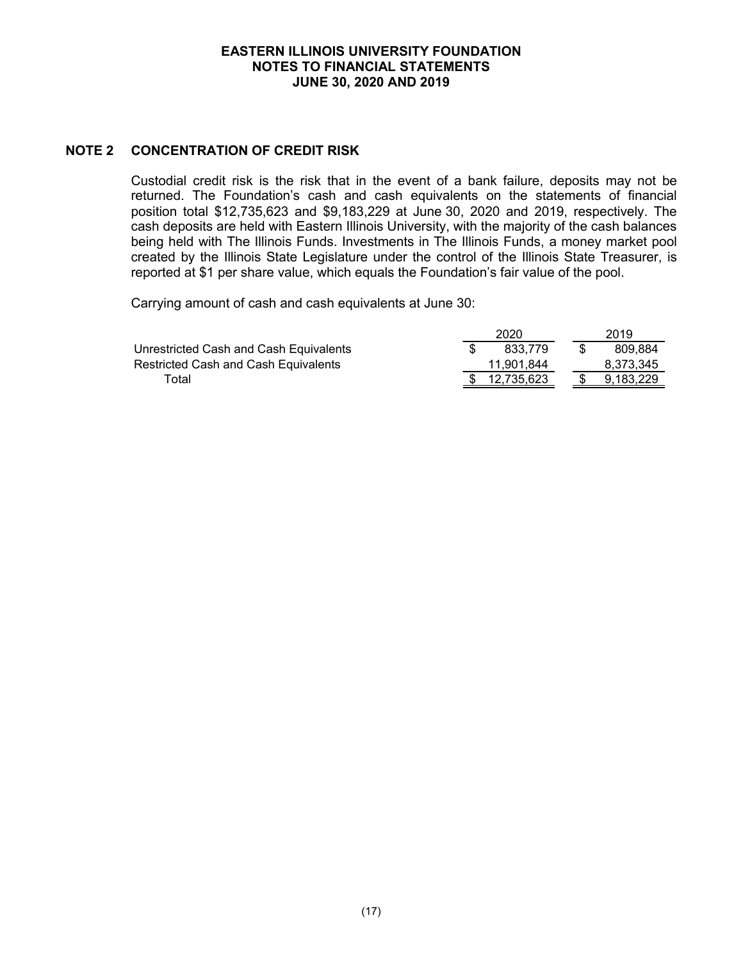# **NOTE 2 CONCENTRATION OF CREDIT RISK**

Custodial credit risk is the risk that in the event of a bank failure, deposits may not be returned. The Foundation's cash and cash equivalents on the statements of financial position total \$12,735,623 and \$9,183,229 at June 30, 2020 and 2019, respectively. The cash deposits are held with Eastern Illinois University, with the majority of the cash balances being held with The Illinois Funds. Investments in The Illinois Funds, a money market pool created by the Illinois State Legislature under the control of the Illinois State Treasurer, is reported at \$1 per share value, which equals the Foundation's fair value of the pool.

Carrying amount of cash and cash equivalents at June 30:

|                                             | 2020       | 2019      |
|---------------------------------------------|------------|-----------|
| Unrestricted Cash and Cash Equivalents      | 833.779    | 809.884   |
| <b>Restricted Cash and Cash Equivalents</b> | 11.901.844 | 8.373.345 |
| Total                                       | 12,735,623 | 9.183.229 |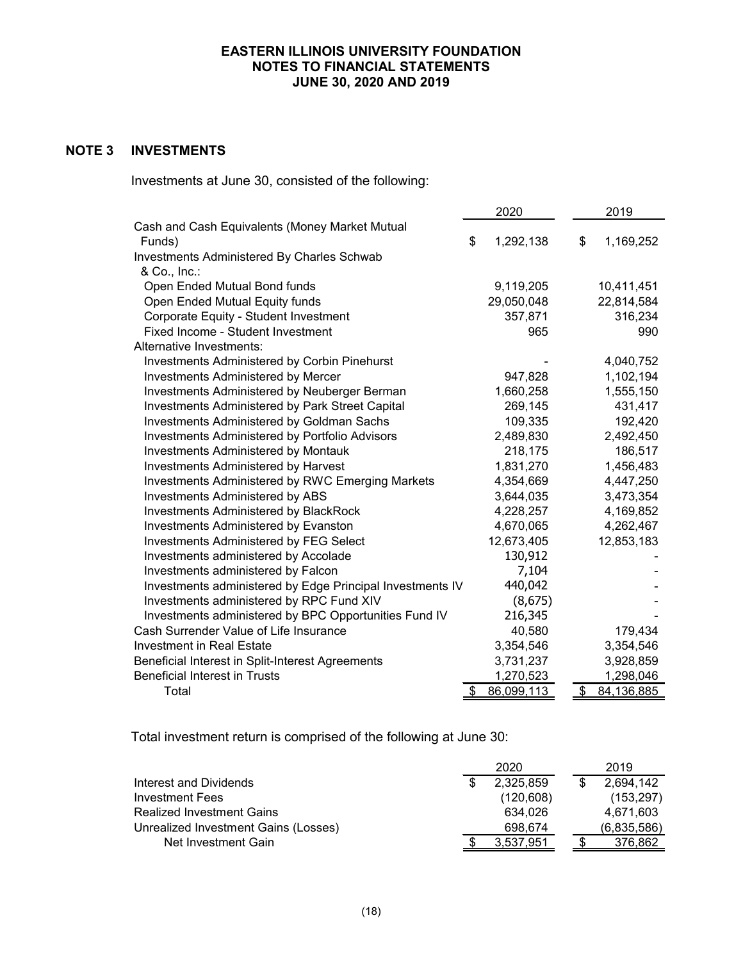# **NOTE 3 INVESTMENTS**

Investments at June 30, consisted of the following:

|                                                           | 2020 |            |  | 2019 |            |
|-----------------------------------------------------------|------|------------|--|------|------------|
| Cash and Cash Equivalents (Money Market Mutual            |      |            |  |      |            |
| Funds)                                                    | \$   | 1,292,138  |  | \$   | 1,169,252  |
| Investments Administered By Charles Schwab                |      |            |  |      |            |
| & Co., Inc.:                                              |      |            |  |      |            |
| Open Ended Mutual Bond funds                              |      | 9,119,205  |  |      | 10,411,451 |
| Open Ended Mutual Equity funds                            |      | 29,050,048 |  |      | 22,814,584 |
| Corporate Equity - Student Investment                     |      | 357,871    |  |      | 316,234    |
| Fixed Income - Student Investment                         |      | 965        |  |      | 990        |
| Alternative Investments:                                  |      |            |  |      |            |
| <b>Investments Administered by Corbin Pinehurst</b>       |      |            |  |      | 4,040,752  |
| <b>Investments Administered by Mercer</b>                 |      | 947,828    |  |      | 1,102,194  |
| Investments Administered by Neuberger Berman              |      | 1,660,258  |  |      | 1,555,150  |
| Investments Administered by Park Street Capital           |      | 269,145    |  |      | 431,417    |
| <b>Investments Administered by Goldman Sachs</b>          |      | 109,335    |  |      | 192,420    |
| <b>Investments Administered by Portfolio Advisors</b>     |      | 2,489,830  |  |      | 2,492,450  |
| Investments Administered by Montauk                       |      | 218,175    |  |      | 186,517    |
| Investments Administered by Harvest                       |      | 1,831,270  |  |      | 1,456,483  |
| <b>Investments Administered by RWC Emerging Markets</b>   |      | 4,354,669  |  |      | 4,447,250  |
| Investments Administered by ABS                           |      | 3,644,035  |  |      | 3,473,354  |
| <b>Investments Administered by BlackRock</b>              |      | 4,228,257  |  |      | 4,169,852  |
| Investments Administered by Evanston                      |      | 4,670,065  |  |      | 4,262,467  |
| <b>Investments Administered by FEG Select</b>             |      | 12,673,405 |  |      | 12,853,183 |
| Investments administered by Accolade                      |      | 130,912    |  |      |            |
| Investments administered by Falcon                        |      | 7,104      |  |      |            |
| Investments administered by Edge Principal Investments IV |      | 440,042    |  |      |            |
| Investments administered by RPC Fund XIV                  |      | (8, 675)   |  |      |            |
| Investments administered by BPC Opportunities Fund IV     |      | 216,345    |  |      |            |
| Cash Surrender Value of Life Insurance                    |      | 40,580     |  |      | 179,434    |
| Investment in Real Estate                                 |      | 3,354,546  |  |      | 3,354,546  |
| Beneficial Interest in Split-Interest Agreements          |      | 3,731,237  |  |      | 3,928,859  |
| <b>Beneficial Interest in Trusts</b>                      |      | 1,270,523  |  |      | 1,298,046  |
| Total                                                     | \$   | 86,099,113 |  | \$   | 84,136,885 |

Total investment return is comprised of the following at June 30:

|                                      | 2020       |  | 2019        |
|--------------------------------------|------------|--|-------------|
| Interest and Dividends               | 2,325,859  |  | 2,694,142   |
| Investment Fees                      | (120, 608) |  | (153, 297)  |
| <b>Realized Investment Gains</b>     | 634.026    |  | 4,671,603   |
| Unrealized Investment Gains (Losses) | 698.674    |  | (6,835,586) |
| Net Investment Gain                  | 3.537.951  |  | 376.862     |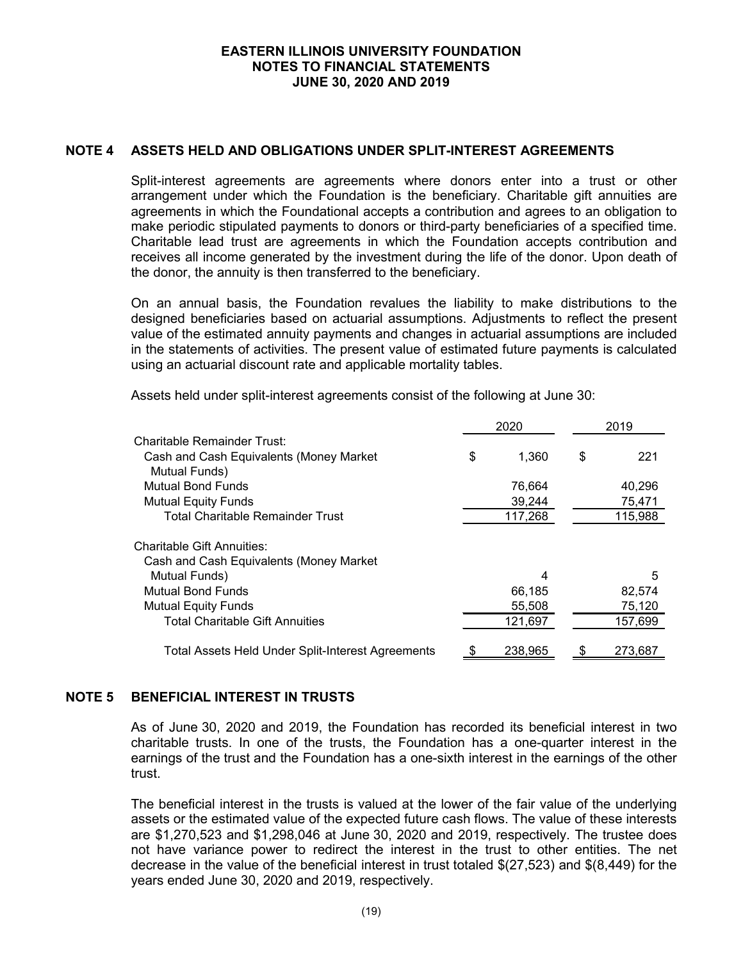## **NOTE 4 ASSETS HELD AND OBLIGATIONS UNDER SPLIT-INTEREST AGREEMENTS**

Split-interest agreements are agreements where donors enter into a trust or other arrangement under which the Foundation is the beneficiary. Charitable gift annuities are agreements in which the Foundational accepts a contribution and agrees to an obligation to make periodic stipulated payments to donors or third-party beneficiaries of a specified time. Charitable lead trust are agreements in which the Foundation accepts contribution and receives all income generated by the investment during the life of the donor. Upon death of the donor, the annuity is then transferred to the beneficiary.

On an annual basis, the Foundation revalues the liability to make distributions to the designed beneficiaries based on actuarial assumptions. Adjustments to reflect the present value of the estimated annuity payments and changes in actuarial assumptions are included in the statements of activities. The present value of estimated future payments is calculated using an actuarial discount rate and applicable mortality tables.

Assets held under split-interest agreements consist of the following at June 30:

|                                                          | 2020 |         |   | 2019    |
|----------------------------------------------------------|------|---------|---|---------|
| Charitable Remainder Trust:                              |      |         |   |         |
| Cash and Cash Equivalents (Money Market                  | \$   | 1,360   | S | 221     |
| Mutual Funds)                                            |      |         |   |         |
| <b>Mutual Bond Funds</b>                                 |      | 76,664  |   | 40,296  |
| <b>Mutual Equity Funds</b>                               |      | 39,244  |   | 75,471  |
| <b>Total Charitable Remainder Trust</b>                  |      | 117,268 |   | 115,988 |
| <b>Charitable Gift Annuities:</b>                        |      |         |   |         |
| Cash and Cash Equivalents (Money Market                  |      |         |   |         |
| Mutual Funds)                                            |      | 4       |   | 5       |
| <b>Mutual Bond Funds</b>                                 |      | 66,185  |   | 82,574  |
| <b>Mutual Equity Funds</b>                               |      | 55,508  |   | 75,120  |
| <b>Total Charitable Gift Annuities</b>                   |      | 121,697 |   | 157,699 |
| <b>Total Assets Held Under Split-Interest Agreements</b> |      | 238.965 |   | 273.687 |

#### **NOTE 5 BENEFICIAL INTEREST IN TRUSTS**

As of June 30, 2020 and 2019, the Foundation has recorded its beneficial interest in two charitable trusts. In one of the trusts, the Foundation has a one-quarter interest in the earnings of the trust and the Foundation has a one-sixth interest in the earnings of the other trust.

The beneficial interest in the trusts is valued at the lower of the fair value of the underlying assets or the estimated value of the expected future cash flows. The value of these interests are \$1,270,523 and \$1,298,046 at June 30, 2020 and 2019, respectively. The trustee does not have variance power to redirect the interest in the trust to other entities. The net decrease in the value of the beneficial interest in trust totaled \$(27,523) and \$(8,449) for the years ended June 30, 2020 and 2019, respectively.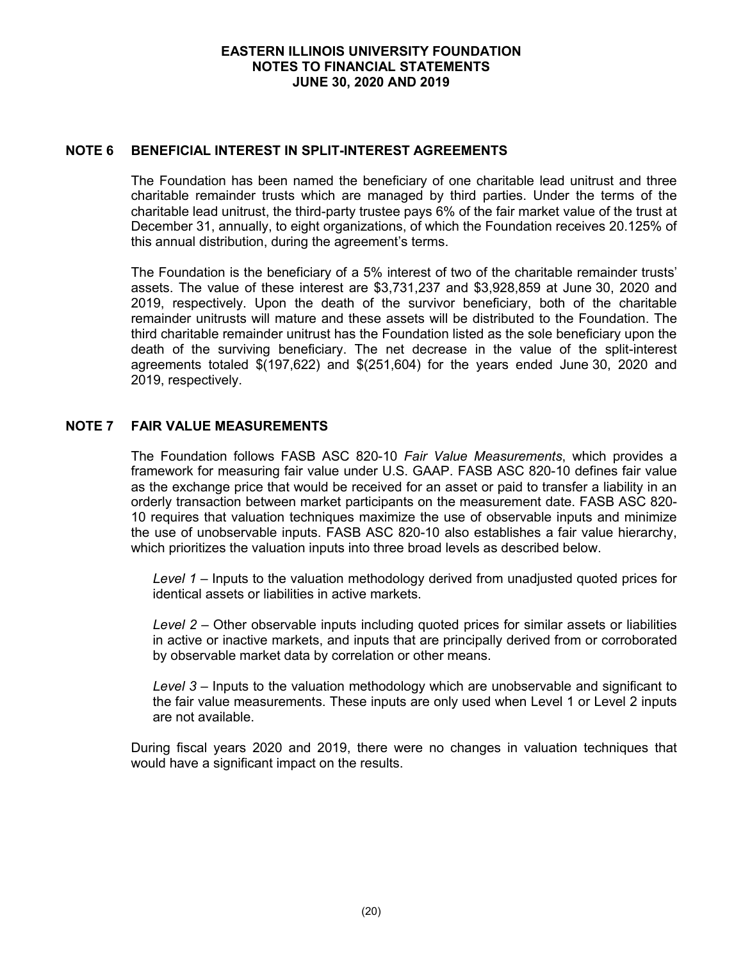## **NOTE 6 BENEFICIAL INTEREST IN SPLIT-INTEREST AGREEMENTS**

The Foundation has been named the beneficiary of one charitable lead unitrust and three charitable remainder trusts which are managed by third parties. Under the terms of the charitable lead unitrust, the third-party trustee pays 6% of the fair market value of the trust at December 31, annually, to eight organizations, of which the Foundation receives 20.125% of this annual distribution, during the agreement's terms.

The Foundation is the beneficiary of a 5% interest of two of the charitable remainder trusts' assets. The value of these interest are \$3,731,237 and \$3,928,859 at June 30, 2020 and 2019, respectively. Upon the death of the survivor beneficiary, both of the charitable remainder unitrusts will mature and these assets will be distributed to the Foundation. The third charitable remainder unitrust has the Foundation listed as the sole beneficiary upon the death of the surviving beneficiary. The net decrease in the value of the split-interest agreements totaled \$(197,622) and \$(251,604) for the years ended June 30, 2020 and 2019, respectively.

# **NOTE 7 FAIR VALUE MEASUREMENTS**

The Foundation follows FASB ASC 820-10 *Fair Value Measurements*, which provides a framework for measuring fair value under U.S. GAAP. FASB ASC 820-10 defines fair value as the exchange price that would be received for an asset or paid to transfer a liability in an orderly transaction between market participants on the measurement date. FASB ASC 820- 10 requires that valuation techniques maximize the use of observable inputs and minimize the use of unobservable inputs. FASB ASC 820-10 also establishes a fair value hierarchy, which prioritizes the valuation inputs into three broad levels as described below.

*Level 1* – Inputs to the valuation methodology derived from unadjusted quoted prices for identical assets or liabilities in active markets.

*Level 2* – Other observable inputs including quoted prices for similar assets or liabilities in active or inactive markets, and inputs that are principally derived from or corroborated by observable market data by correlation or other means.

*Level 3* – Inputs to the valuation methodology which are unobservable and significant to the fair value measurements. These inputs are only used when Level 1 or Level 2 inputs are not available.

During fiscal years 2020 and 2019, there were no changes in valuation techniques that would have a significant impact on the results.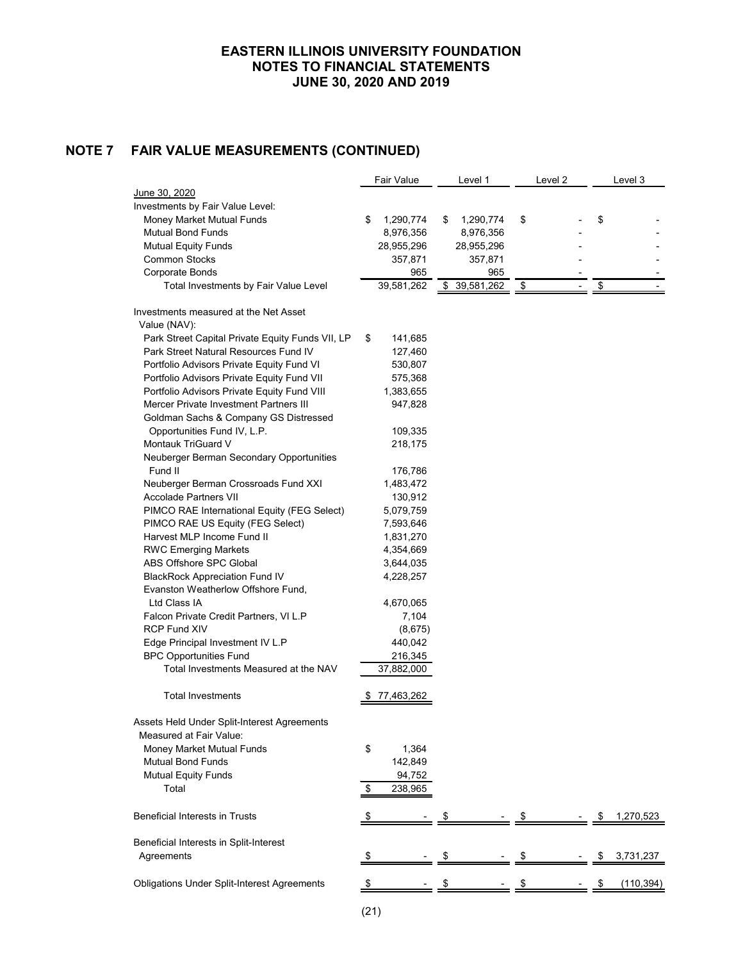# **NOTE 7 FAIR VALUE MEASUREMENTS (CONTINUED)**

|                                                    |    | Fair Value | Level 1          | Level 2 |               | Level 3    |
|----------------------------------------------------|----|------------|------------------|---------|---------------|------------|
| June 30, 2020                                      |    |            |                  |         |               |            |
| Investments by Fair Value Level:                   |    |            |                  |         |               |            |
| Money Market Mutual Funds                          | \$ | 1,290,774  | \$<br>1,290,774  | \$      | \$            |            |
| <b>Mutual Bond Funds</b>                           |    | 8,976,356  | 8,976,356        |         |               |            |
| <b>Mutual Equity Funds</b>                         |    | 28,955,296 | 28,955,296       |         |               |            |
| <b>Common Stocks</b>                               |    | 357,871    | 357,871          |         |               |            |
| Corporate Bonds                                    |    | 965        | 965              |         |               |            |
| Total Investments by Fair Value Level              |    | 39,581,262 | \$<br>39,581,262 | \$      | $\frac{1}{2}$ |            |
| Investments measured at the Net Asset              |    |            |                  |         |               |            |
| Value (NAV):                                       |    |            |                  |         |               |            |
| Park Street Capital Private Equity Funds VII, LP   | \$ | 141,685    |                  |         |               |            |
| Park Street Natural Resources Fund IV              |    | 127,460    |                  |         |               |            |
| Portfolio Advisors Private Equity Fund VI          |    | 530,807    |                  |         |               |            |
| Portfolio Advisors Private Equity Fund VII         |    | 575,368    |                  |         |               |            |
| Portfolio Advisors Private Equity Fund VIII        |    | 1,383,655  |                  |         |               |            |
| Mercer Private Investment Partners III             |    | 947,828    |                  |         |               |            |
| Goldman Sachs & Company GS Distressed              |    |            |                  |         |               |            |
| Opportunities Fund IV, L.P.                        |    | 109,335    |                  |         |               |            |
| Montauk TriGuard V                                 |    | 218,175    |                  |         |               |            |
| Neuberger Berman Secondary Opportunities           |    |            |                  |         |               |            |
| Fund II                                            |    | 176,786    |                  |         |               |            |
| Neuberger Berman Crossroads Fund XXI               |    | 1,483,472  |                  |         |               |            |
| <b>Accolade Partners VII</b>                       |    | 130,912    |                  |         |               |            |
| PIMCO RAE International Equity (FEG Select)        |    | 5,079,759  |                  |         |               |            |
| PIMCO RAE US Equity (FEG Select)                   |    | 7,593,646  |                  |         |               |            |
| Harvest MLP Income Fund II                         |    | 1,831,270  |                  |         |               |            |
| <b>RWC Emerging Markets</b>                        |    | 4,354,669  |                  |         |               |            |
| ABS Offshore SPC Global                            |    | 3,644,035  |                  |         |               |            |
| <b>BlackRock Appreciation Fund IV</b>              |    | 4,228,257  |                  |         |               |            |
| Evanston Weatherlow Offshore Fund,                 |    |            |                  |         |               |            |
| Ltd Class IA                                       |    | 4,670,065  |                  |         |               |            |
| Falcon Private Credit Partners, VI L.P             |    | 7,104      |                  |         |               |            |
| <b>RCP Fund XIV</b>                                |    | (8,675)    |                  |         |               |            |
| Edge Principal Investment IV L.P                   |    | 440,042    |                  |         |               |            |
| <b>BPC Opportunities Fund</b>                      |    | 216,345    |                  |         |               |            |
| Total Investments Measured at the NAV              |    | 37,882,000 |                  |         |               |            |
| <b>Total Investments</b>                           |    | 77,463,262 |                  |         |               |            |
|                                                    |    |            |                  |         |               |            |
| Assets Held Under Split-Interest Agreements        |    |            |                  |         |               |            |
| Measured at Fair Value:                            |    |            |                  |         |               |            |
| Money Market Mutual Funds                          | \$ | 1,364      |                  |         |               |            |
| <b>Mutual Bond Funds</b>                           |    | 142,849    |                  |         |               |            |
| <b>Mutual Equity Funds</b>                         |    | 94,752     |                  |         |               |            |
| Total                                              | \$ | 238,965    |                  |         |               |            |
| <b>Beneficial Interests in Trusts</b>              | S  |            | \$               | \$      |               | 1,270,523  |
|                                                    |    |            |                  |         |               |            |
| Beneficial Interests in Split-Interest             |    |            |                  |         |               |            |
| Agreements                                         | \$ |            | \$               | \$      |               | 3,731,237  |
| <b>Obligations Under Split-Interest Agreements</b> |    |            |                  |         |               | (110, 394) |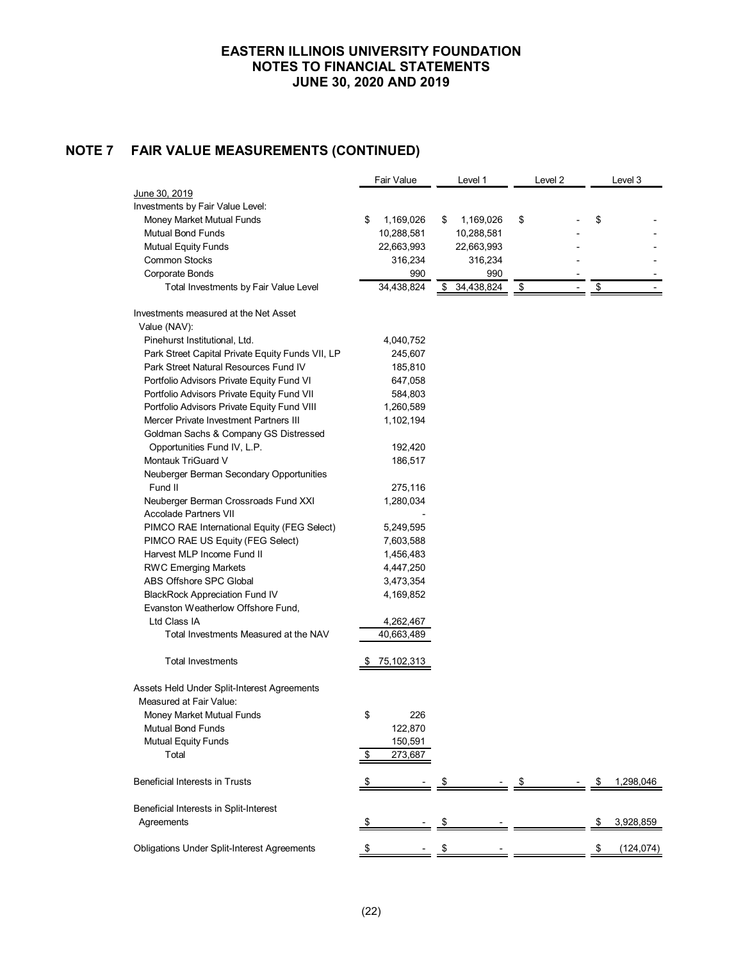# **NOTE 7 FAIR VALUE MEASUREMENTS (CONTINUED)**

|                                                    | Fair Value      | Level 1          | Level 2 | Level 3    |
|----------------------------------------------------|-----------------|------------------|---------|------------|
| <u>June 30, 2019</u>                               |                 |                  |         |            |
| Investments by Fair Value Level:                   |                 |                  |         |            |
| Money Market Mutual Funds                          | \$<br>1,169,026 | \$<br>1,169,026  | \$      | \$         |
| <b>Mutual Bond Funds</b>                           | 10,288,581      | 10,288,581       |         |            |
| <b>Mutual Equity Funds</b>                         | 22,663,993      | 22,663,993       |         |            |
| <b>Common Stocks</b>                               | 316,234         | 316,234          |         |            |
| Corporate Bonds                                    | 990             | 990              |         |            |
| Total Investments by Fair Value Level              | 34,438,824      | \$<br>34,438,824 | \$      | \$         |
| Investments measured at the Net Asset              |                 |                  |         |            |
| Value (NAV):                                       |                 |                  |         |            |
| Pinehurst Institutional, Ltd.                      | 4,040,752       |                  |         |            |
| Park Street Capital Private Equity Funds VII, LP   | 245,607         |                  |         |            |
| Park Street Natural Resources Fund IV              | 185,810         |                  |         |            |
| Portfolio Advisors Private Equity Fund VI          | 647,058         |                  |         |            |
| Portfolio Advisors Private Equity Fund VII         | 584,803         |                  |         |            |
| Portfolio Advisors Private Equity Fund VIII        | 1,260,589       |                  |         |            |
| Mercer Private Investment Partners III             | 1,102,194       |                  |         |            |
| Goldman Sachs & Company GS Distressed              |                 |                  |         |            |
| Opportunities Fund IV, L.P.                        | 192,420         |                  |         |            |
| Montauk TriGuard V                                 | 186,517         |                  |         |            |
| Neuberger Berman Secondary Opportunities           |                 |                  |         |            |
| Fund II                                            | 275,116         |                  |         |            |
| Neuberger Berman Crossroads Fund XXI               | 1,280,034       |                  |         |            |
| <b>Accolade Partners VII</b>                       |                 |                  |         |            |
| PIMCO RAE International Equity (FEG Select)        | 5,249,595       |                  |         |            |
| PIMCO RAE US Equity (FEG Select)                   | 7,603,588       |                  |         |            |
| Harvest MLP Income Fund II                         | 1,456,483       |                  |         |            |
| <b>RWC Emerging Markets</b>                        | 4,447,250       |                  |         |            |
| ABS Offshore SPC Global                            | 3,473,354       |                  |         |            |
| <b>BlackRock Appreciation Fund IV</b>              | 4,169,852       |                  |         |            |
| Evanston Weatherlow Offshore Fund,                 |                 |                  |         |            |
| Ltd Class IA                                       | 4,262,467       |                  |         |            |
| Total Investments Measured at the NAV              | 40,663,489      |                  |         |            |
|                                                    |                 |                  |         |            |
| Total Investments                                  | \$75,102,313    |                  |         |            |
| Assets Held Under Split-Interest Agreements        |                 |                  |         |            |
| Measured at Fair Value:                            |                 |                  |         |            |
| Money Market Mutual Funds                          | \$<br>226       |                  |         |            |
| <b>Mutual Bond Funds</b>                           | 122,870         |                  |         |            |
| <b>Mutual Equity Funds</b>                         | 150,591         |                  |         |            |
| Total                                              | \$<br>273,687   |                  |         |            |
|                                                    |                 |                  |         |            |
| Beneficial Interests in Trusts                     | \$              |                  | \$      | 1,298,046  |
| Beneficial Interests in Split-Interest             |                 |                  |         |            |
| Agreements                                         |                 |                  |         | 3,928,859  |
|                                                    |                 |                  |         |            |
| <b>Obligations Under Split-Interest Agreements</b> | \$              | \$               |         | (124, 074) |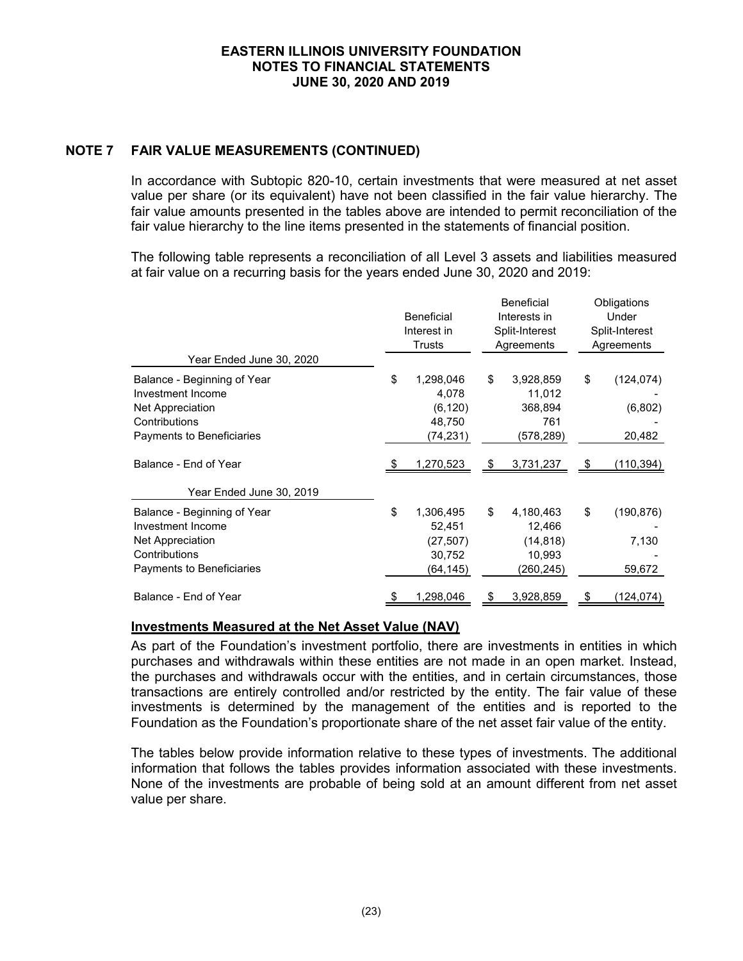# **NOTE 7 FAIR VALUE MEASUREMENTS (CONTINUED)**

In accordance with Subtopic 820-10, certain investments that were measured at net asset value per share (or its equivalent) have not been classified in the fair value hierarchy. The fair value amounts presented in the tables above are intended to permit reconciliation of the fair value hierarchy to the line items presented in the statements of financial position.

The following table represents a reconciliation of all Level 3 assets and liabilities measured at fair value on a recurring basis for the years ended June 30, 2020 and 2019:

|                                                                                                                    | <b>Beneficial</b><br>Interest in<br><b>Trusts</b>            |               | <b>Beneficial</b><br>Interests in<br>Split-Interest<br>Agreements |    | Obligations<br>Under<br>Split-Interest<br>Agreements |
|--------------------------------------------------------------------------------------------------------------------|--------------------------------------------------------------|---------------|-------------------------------------------------------------------|----|------------------------------------------------------|
| Year Ended June 30, 2020                                                                                           |                                                              |               |                                                                   |    |                                                      |
| Balance - Beginning of Year<br>Investment Income<br>Net Appreciation<br>Contributions<br>Payments to Beneficiaries | \$<br>1,298,046<br>4,078<br>(6, 120)<br>48,750<br>(74,231)   | \$            | 3,928,859<br>11,012<br>368,894<br>761<br>(578,289)                | \$ | (124, 074)<br>(6,802)<br>20,482                      |
| Balance - End of Year                                                                                              | <u>1,270,523 </u>                                            | $\frac{1}{2}$ | 3,731,237                                                         | S  | <u>(110,394)</u>                                     |
| Year Ended June 30, 2019                                                                                           |                                                              |               |                                                                   |    |                                                      |
| Balance - Beginning of Year<br>Investment Income<br>Net Appreciation<br>Contributions<br>Payments to Beneficiaries | \$<br>1,306,495<br>52,451<br>(27, 507)<br>30,752<br>(64,145) | \$            | 4,180,463<br>12,466<br>(14, 818)<br>10,993<br>(260,245)           | \$ | (190, 876)<br>7,130<br>59,672                        |
| Balance - End of Year                                                                                              | 1,298,046                                                    | \$            | 3,928,859                                                         |    | <u>(124,074)</u>                                     |

#### **Investments Measured at the Net Asset Value (NAV)**

As part of the Foundation's investment portfolio, there are investments in entities in which purchases and withdrawals within these entities are not made in an open market. Instead, the purchases and withdrawals occur with the entities, and in certain circumstances, those transactions are entirely controlled and/or restricted by the entity. The fair value of these investments is determined by the management of the entities and is reported to the Foundation as the Foundation's proportionate share of the net asset fair value of the entity.

The tables below provide information relative to these types of investments. The additional information that follows the tables provides information associated with these investments. None of the investments are probable of being sold at an amount different from net asset value per share.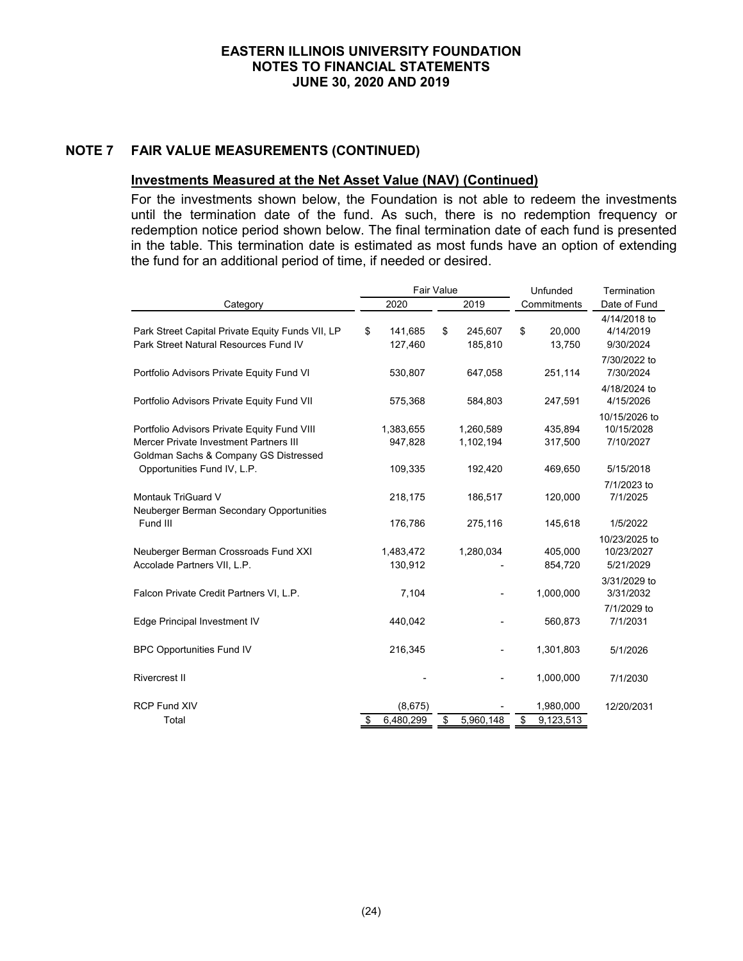# **NOTE 7 FAIR VALUE MEASUREMENTS (CONTINUED)**

#### **Investments Measured at the Net Asset Value (NAV) (Continued)**

For the investments shown below, the Foundation is not able to redeem the investments until the termination date of the fund. As such, there is no redemption frequency or redemption notice period shown below. The final termination date of each fund is presented in the table. This termination date is estimated as most funds have an option of extending the fund for an additional period of time, if needed or desired.

| <b>Fair Value</b>                                                                                                              |    |                      |    |                        | Unfunded                     | Termination                              |
|--------------------------------------------------------------------------------------------------------------------------------|----|----------------------|----|------------------------|------------------------------|------------------------------------------|
| Category                                                                                                                       |    | 2020                 |    | 2019                   | Commitments                  | Date of Fund                             |
| Park Street Capital Private Equity Funds VII, LP<br>Park Street Natural Resources Fund IV                                      | \$ | 141,685<br>127,460   | \$ | 245,607<br>185,810     | \$<br>20,000<br>13,750       | 4/14/2018 to<br>4/14/2019<br>9/30/2024   |
| Portfolio Advisors Private Equity Fund VI                                                                                      |    | 530,807              |    | 647,058                | 251,114                      | 7/30/2022 to<br>7/30/2024                |
| Portfolio Advisors Private Equity Fund VII                                                                                     |    | 575,368              |    | 584,803                | 247,591                      | 4/18/2024 to<br>4/15/2026                |
| Portfolio Advisors Private Equity Fund VIII<br>Mercer Private Investment Partners III<br>Goldman Sachs & Company GS Distressed |    | 1,383,655<br>947,828 |    | 1,260,589<br>1,102,194 | 435.894<br>317,500           | 10/15/2026 to<br>10/15/2028<br>7/10/2027 |
| Opportunities Fund IV, L.P.                                                                                                    |    | 109,335              |    | 192,420                | 469,650                      | 5/15/2018                                |
| Montauk TriGuard V<br>Neuberger Berman Secondary Opportunities                                                                 |    | 218,175              |    | 186,517                | 120,000                      | 7/1/2023 to<br>7/1/2025                  |
| Fund III                                                                                                                       |    | 176,786              |    | 275,116                | 145,618                      | 1/5/2022                                 |
| Neuberger Berman Crossroads Fund XXI<br>Accolade Partners VII, L.P.                                                            |    | 1,483,472<br>130,912 |    | 1,280,034              | 405,000<br>854,720           | 10/23/2025 to<br>10/23/2027<br>5/21/2029 |
| Falcon Private Credit Partners VI, L.P.                                                                                        |    | 7,104                |    |                        | 1,000,000                    | 3/31/2029 to<br>3/31/2032                |
| Edge Principal Investment IV                                                                                                   |    | 440,042              |    |                        | 560,873                      | 7/1/2029 to<br>7/1/2031                  |
| <b>BPC Opportunities Fund IV</b>                                                                                               |    | 216,345              |    |                        | 1,301,803                    | 5/1/2026                                 |
| <b>Rivercrest II</b>                                                                                                           |    |                      |    |                        | 1,000,000                    | 7/1/2030                                 |
| <b>RCP Fund XIV</b><br>Total                                                                                                   | \$ | (8,675)<br>6,480,299 | \$ | 5,960,148              | \$<br>1,980,000<br>9,123,513 | 12/20/2031                               |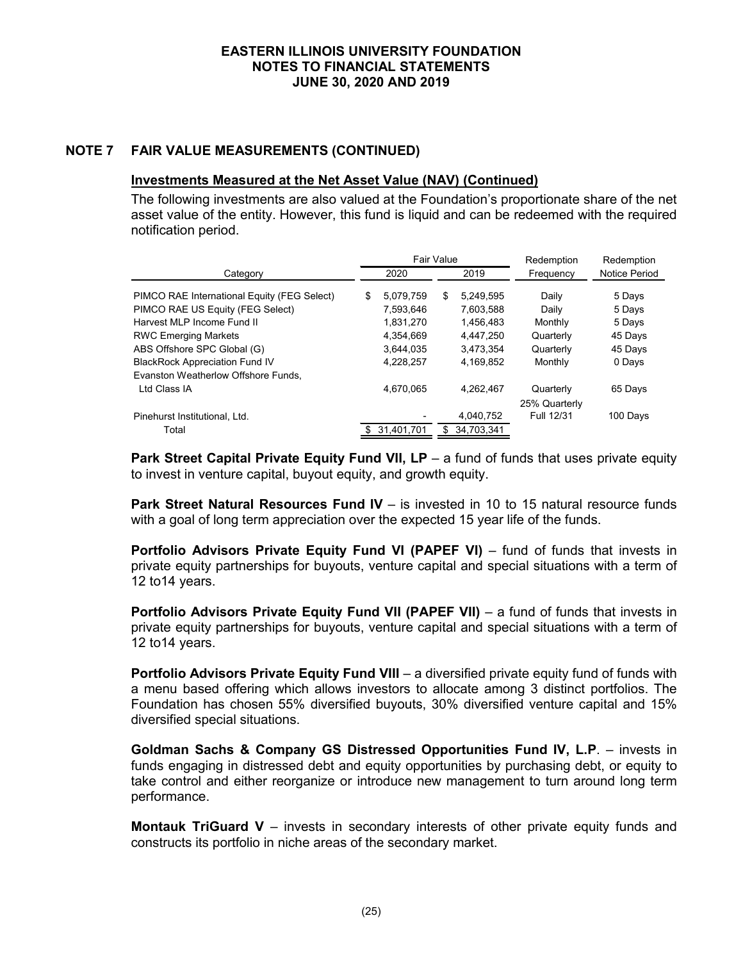# **NOTE 7 FAIR VALUE MEASUREMENTS (CONTINUED)**

## **Investments Measured at the Net Asset Value (NAV) (Continued)**

The following investments are also valued at the Foundation's proportionate share of the net asset value of the entity. However, this fund is liquid and can be redeemed with the required notification period.

|                                                                                 |    | Fair Value             |     |                        | Redemption     | Redemption       |  |
|---------------------------------------------------------------------------------|----|------------------------|-----|------------------------|----------------|------------------|--|
| Category                                                                        |    | 2020                   |     | 2019                   | Frequency      | Notice Period    |  |
| PIMCO RAE International Equity (FEG Select)<br>PIMCO RAE US Equity (FEG Select) | \$ | 5,079,759<br>7,593,646 | \$  | 5.249.595<br>7,603,588 | Daily<br>Daily | 5 Days<br>5 Days |  |
| Harvest MLP Income Fund II                                                      |    | 1,831,270              |     | 1,456,483              | Monthly        | 5 Days           |  |
| <b>RWC Emerging Markets</b>                                                     |    | 4,354,669              |     | 4.447.250              | Quarterly      | 45 Days          |  |
| ABS Offshore SPC Global (G)                                                     |    | 3,644,035              |     | 3.473.354              | Quarterly      | 45 Days          |  |
| <b>BlackRock Appreciation Fund IV</b>                                           |    | 4,228,257              |     | 4.169.852              | Monthly        | 0 Days           |  |
| Evanston Weatherlow Offshore Funds,                                             |    |                        |     |                        |                |                  |  |
| I td Class IA                                                                   |    | 4,670,065              |     | 4.262.467              | Quarterly      | 65 Days          |  |
|                                                                                 |    |                        |     |                        | 25% Quarterly  |                  |  |
| Pinehurst Institutional, Ltd.                                                   |    |                        |     | 4,040,752              | Full 12/31     | 100 Days         |  |
| Total                                                                           | \$ | 31,401,701             | \$. | 34.703.341             |                |                  |  |

**Park Street Capital Private Equity Fund VII, LP** – a fund of funds that uses private equity to invest in venture capital, buyout equity, and growth equity.

**Park Street Natural Resources Fund IV** – is invested in 10 to 15 natural resource funds with a goal of long term appreciation over the expected 15 year life of the funds.

**Portfolio Advisors Private Equity Fund VI (PAPEF VI)** – fund of funds that invests in private equity partnerships for buyouts, venture capital and special situations with a term of 12 to14 years.

**Portfolio Advisors Private Equity Fund VII (PAPEF VII)** – a fund of funds that invests in private equity partnerships for buyouts, venture capital and special situations with a term of 12 to14 years.

**Portfolio Advisors Private Equity Fund VIII** - a diversified private equity fund of funds with a menu based offering which allows investors to allocate among 3 distinct portfolios. The Foundation has chosen 55% diversified buyouts, 30% diversified venture capital and 15% diversified special situations.

**Goldman Sachs & Company GS Distressed Opportunities Fund IV, L.P**. – invests in funds engaging in distressed debt and equity opportunities by purchasing debt, or equity to take control and either reorganize or introduce new management to turn around long term performance.

**Montauk TriGuard V** – invests in secondary interests of other private equity funds and constructs its portfolio in niche areas of the secondary market.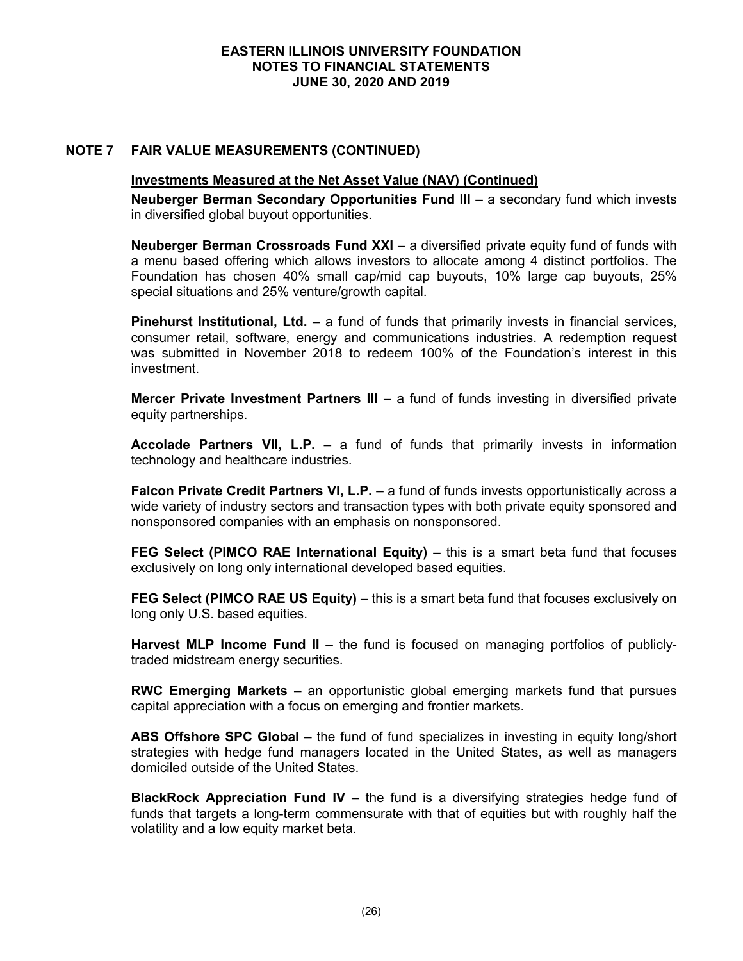# **NOTE 7 FAIR VALUE MEASUREMENTS (CONTINUED)**

## **Investments Measured at the Net Asset Value (NAV) (Continued)**

**Neuberger Berman Secondary Opportunities Fund III** – a secondary fund which invests in diversified global buyout opportunities.

**Neuberger Berman Crossroads Fund XXI** – a diversified private equity fund of funds with a menu based offering which allows investors to allocate among 4 distinct portfolios. The Foundation has chosen 40% small cap/mid cap buyouts, 10% large cap buyouts, 25% special situations and 25% venture/growth capital.

**Pinehurst Institutional, Ltd.** – a fund of funds that primarily invests in financial services, consumer retail, software, energy and communications industries. A redemption request was submitted in November 2018 to redeem 100% of the Foundation's interest in this investment.

**Mercer Private Investment Partners III** – a fund of funds investing in diversified private equity partnerships.

**Accolade Partners VII, L.P.** – a fund of funds that primarily invests in information technology and healthcare industries.

**Falcon Private Credit Partners VI, L.P.** – a fund of funds invests opportunistically across a wide variety of industry sectors and transaction types with both private equity sponsored and nonsponsored companies with an emphasis on nonsponsored.

**FEG Select (PIMCO RAE International Equity)** – this is a smart beta fund that focuses exclusively on long only international developed based equities.

**FEG Select (PIMCO RAE US Equity)** – this is a smart beta fund that focuses exclusively on long only U.S. based equities.

**Harvest MLP Income Fund II** – the fund is focused on managing portfolios of publiclytraded midstream energy securities.

**RWC Emerging Markets** – an opportunistic global emerging markets fund that pursues capital appreciation with a focus on emerging and frontier markets.

**ABS Offshore SPC Global** – the fund of fund specializes in investing in equity long/short strategies with hedge fund managers located in the United States, as well as managers domiciled outside of the United States.

**BlackRock Appreciation Fund IV** – the fund is a diversifying strategies hedge fund of funds that targets a long-term commensurate with that of equities but with roughly half the volatility and a low equity market beta.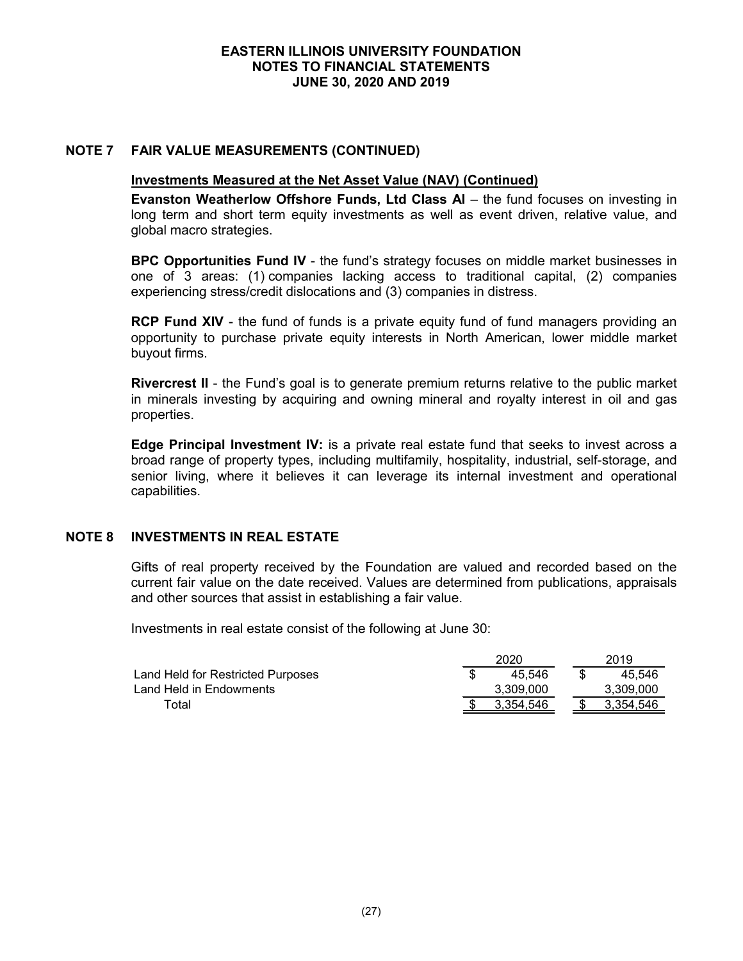# **NOTE 7 FAIR VALUE MEASUREMENTS (CONTINUED)**

#### **Investments Measured at the Net Asset Value (NAV) (Continued)**

**Evanston Weatherlow Offshore Funds, Ltd Class AI** – the fund focuses on investing in long term and short term equity investments as well as event driven, relative value, and global macro strategies.

**BPC Opportunities Fund IV** - the fund's strategy focuses on middle market businesses in one of 3 areas: (1) companies lacking access to traditional capital, (2) companies experiencing stress/credit dislocations and (3) companies in distress.

**RCP Fund XIV** - the fund of funds is a private equity fund of fund managers providing an opportunity to purchase private equity interests in North American, lower middle market buyout firms.

**Rivercrest II** - the Fund's goal is to generate premium returns relative to the public market in minerals investing by acquiring and owning mineral and royalty interest in oil and gas properties.

**Edge Principal Investment IV:** is a private real estate fund that seeks to invest across a broad range of property types, including multifamily, hospitality, industrial, self-storage, and senior living, where it believes it can leverage its internal investment and operational capabilities.

# **NOTE 8 INVESTMENTS IN REAL ESTATE**

Gifts of real property received by the Foundation are valued and recorded based on the current fair value on the date received. Values are determined from publications, appraisals and other sources that assist in establishing a fair value.

Investments in real estate consist of the following at June 30:

|                                   | 2020      |  |           |  |
|-----------------------------------|-----------|--|-----------|--|
| Land Held for Restricted Purposes | 45.546    |  | 45.546    |  |
| Land Held in Endowments           | 3.309.000 |  | 3.309.000 |  |
| Гоtal                             | 3.354.546 |  | 3.354.546 |  |
|                                   |           |  |           |  |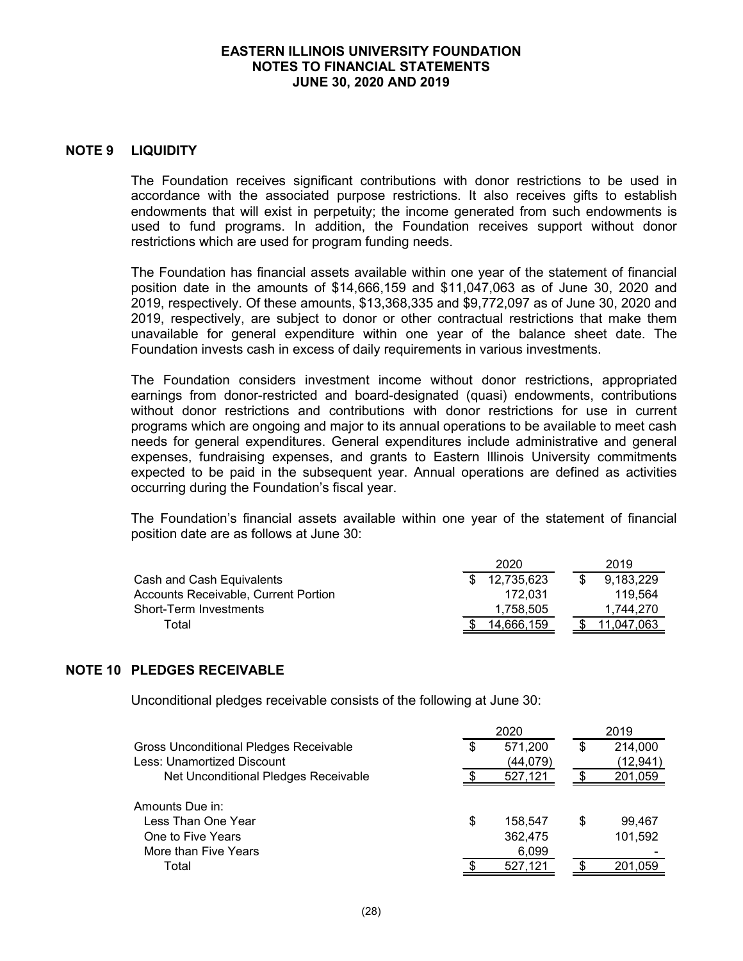#### **NOTE 9 LIQUIDITY**

The Foundation receives significant contributions with donor restrictions to be used in accordance with the associated purpose restrictions. It also receives gifts to establish endowments that will exist in perpetuity; the income generated from such endowments is used to fund programs. In addition, the Foundation receives support without donor restrictions which are used for program funding needs.

The Foundation has financial assets available within one year of the statement of financial position date in the amounts of \$14,666,159 and \$11,047,063 as of June 30, 2020 and 2019, respectively. Of these amounts, \$13,368,335 and \$9,772,097 as of June 30, 2020 and 2019, respectively, are subject to donor or other contractual restrictions that make them unavailable for general expenditure within one year of the balance sheet date. The Foundation invests cash in excess of daily requirements in various investments.

The Foundation considers investment income without donor restrictions, appropriated earnings from donor-restricted and board-designated (quasi) endowments, contributions without donor restrictions and contributions with donor restrictions for use in current programs which are ongoing and major to its annual operations to be available to meet cash needs for general expenditures. General expenditures include administrative and general expenses, fundraising expenses, and grants to Eastern Illinois University commitments expected to be paid in the subsequent year. Annual operations are defined as activities occurring during the Foundation's fiscal year.

The Foundation's financial assets available within one year of the statement of financial position date are as follows at June 30:

|                                      | 2020       |  |  | 2019      |
|--------------------------------------|------------|--|--|-----------|
| Cash and Cash Equivalents            | 12,735,623 |  |  | 9.183.229 |
| Accounts Receivable, Current Portion | 172.031    |  |  | 119.564   |
| Short-Term Investments               | 1.758.505  |  |  | 1.744.270 |
| Total                                | 14.666.159 |  |  | .047.063  |

#### **NOTE 10 PLEDGES RECEIVABLE**

Unconditional pledges receivable consists of the following at June 30:

|                                                                                    |    | 2020                        | 2019 |                   |  |
|------------------------------------------------------------------------------------|----|-----------------------------|------|-------------------|--|
| Gross Unconditional Pledges Receivable                                             | \$ | 571,200                     | S    | 214,000           |  |
| Less: Unamortized Discount                                                         |    | (44,079)                    |      | (12, 941)         |  |
| Net Unconditional Pledges Receivable                                               |    | 527,121                     |      | 201,059           |  |
| Amounts Due in:<br>Less Than One Year<br>One to Five Years<br>More than Five Years | S  | 158.547<br>362,475<br>6,099 | S    | 99.467<br>101,592 |  |
| Total                                                                              |    | 527,121                     |      | 201.059           |  |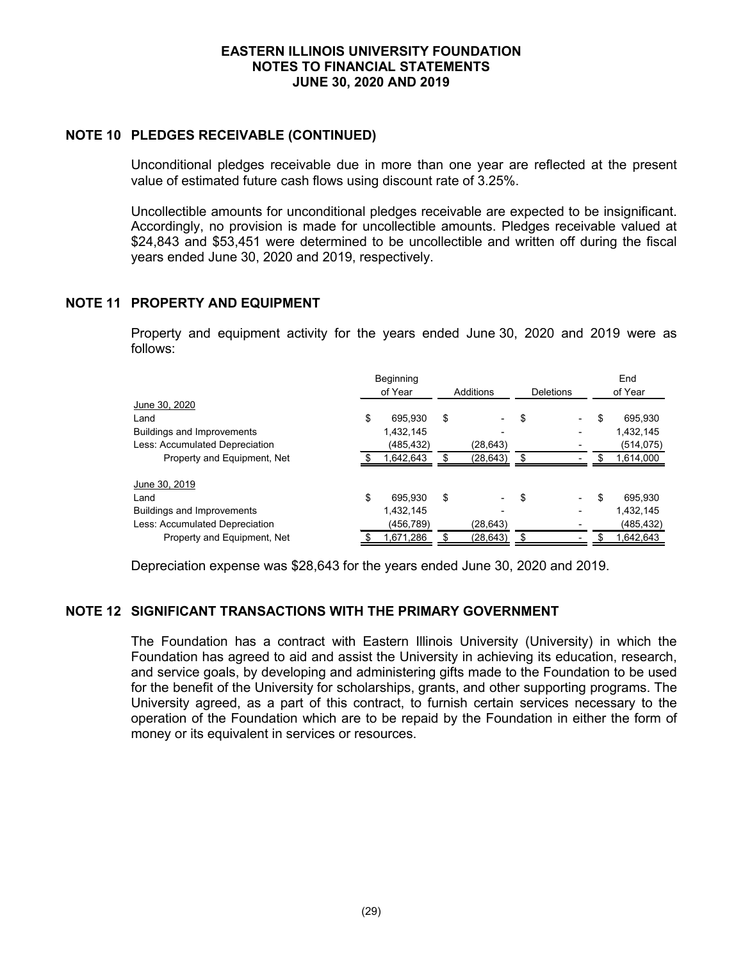# **NOTE 10 PLEDGES RECEIVABLE (CONTINUED)**

Unconditional pledges receivable due in more than one year are reflected at the present value of estimated future cash flows using discount rate of 3.25%.

Uncollectible amounts for unconditional pledges receivable are expected to be insignificant. Accordingly, no provision is made for uncollectible amounts. Pledges receivable valued at \$24,843 and \$53,451 were determined to be uncollectible and written off during the fiscal years ended June 30, 2020 and 2019, respectively.

# **NOTE 11 PROPERTY AND EQUIPMENT**

Property and equipment activity for the years ended June 30, 2020 and 2019 were as follows:

|                                   | Beginning     |                 |                                | End           |
|-----------------------------------|---------------|-----------------|--------------------------------|---------------|
|                                   | of Year       | Additions       | Deletions                      | of Year       |
| June 30, 2020                     |               |                 |                                |               |
| Land                              | \$<br>695.930 | \$              | \$<br>$\overline{\phantom{0}}$ | \$<br>695,930 |
| <b>Buildings and Improvements</b> | 1.432.145     |                 |                                | 1,432,145     |
| Less: Accumulated Depreciation    | (485,432)     | (28,643)        |                                | (514, 075)    |
| Property and Equipment, Net       | 1,642,643     | \$<br>(28, 643) | \$                             | 1,614,000     |
| June 30, 2019                     |               |                 |                                |               |
| Land                              | \$<br>695.930 | \$              | \$                             | \$<br>695.930 |
| <b>Buildings and Improvements</b> | 1,432,145     |                 |                                | 1,432,145     |
| Less: Accumulated Depreciation    | (456,789)     | (28,643)        |                                | (485,432)     |
| Property and Equipment, Net       | 1,671,286     | (28, 643)       |                                | 1,642,643     |

Depreciation expense was \$28,643 for the years ended June 30, 2020 and 2019.

# **NOTE 12 SIGNIFICANT TRANSACTIONS WITH THE PRIMARY GOVERNMENT**

The Foundation has a contract with Eastern Illinois University (University) in which the Foundation has agreed to aid and assist the University in achieving its education, research, and service goals, by developing and administering gifts made to the Foundation to be used for the benefit of the University for scholarships, grants, and other supporting programs. The University agreed, as a part of this contract, to furnish certain services necessary to the operation of the Foundation which are to be repaid by the Foundation in either the form of money or its equivalent in services or resources.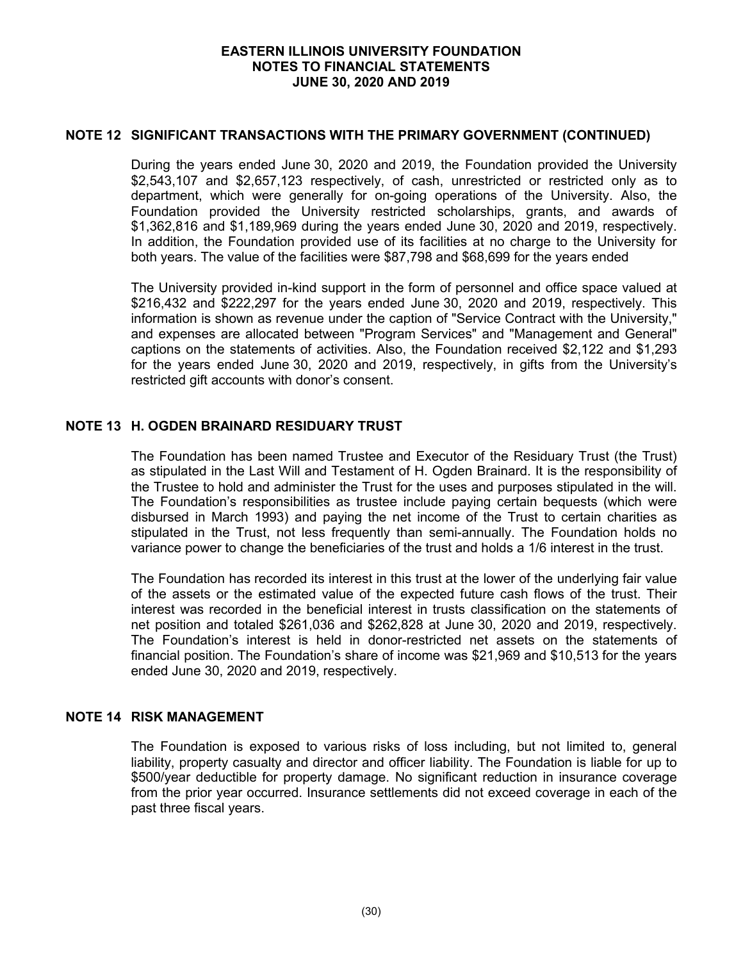#### **NOTE 12 SIGNIFICANT TRANSACTIONS WITH THE PRIMARY GOVERNMENT (CONTINUED)**

During the years ended June 30, 2020 and 2019, the Foundation provided the University \$2,543,107 and \$2,657,123 respectively, of cash, unrestricted or restricted only as to department, which were generally for on-going operations of the University. Also, the Foundation provided the University restricted scholarships, grants, and awards of \$1,362,816 and \$1,189,969 during the years ended June 30, 2020 and 2019, respectively. In addition, the Foundation provided use of its facilities at no charge to the University for both years. The value of the facilities were \$87,798 and \$68,699 for the years ended

The University provided in-kind support in the form of personnel and office space valued at \$216,432 and \$222,297 for the years ended June 30, 2020 and 2019, respectively. This information is shown as revenue under the caption of "Service Contract with the University," and expenses are allocated between "Program Services" and "Management and General" captions on the statements of activities. Also, the Foundation received \$2,122 and \$1,293 for the years ended June 30, 2020 and 2019, respectively, in gifts from the University's restricted gift accounts with donor's consent.

# **NOTE 13 H. OGDEN BRAINARD RESIDUARY TRUST**

The Foundation has been named Trustee and Executor of the Residuary Trust (the Trust) as stipulated in the Last Will and Testament of H. Ogden Brainard. It is the responsibility of the Trustee to hold and administer the Trust for the uses and purposes stipulated in the will. The Foundation's responsibilities as trustee include paying certain bequests (which were disbursed in March 1993) and paying the net income of the Trust to certain charities as stipulated in the Trust, not less frequently than semi-annually. The Foundation holds no variance power to change the beneficiaries of the trust and holds a 1/6 interest in the trust.

The Foundation has recorded its interest in this trust at the lower of the underlying fair value of the assets or the estimated value of the expected future cash flows of the trust. Their interest was recorded in the beneficial interest in trusts classification on the statements of net position and totaled \$261,036 and \$262,828 at June 30, 2020 and 2019, respectively. The Foundation's interest is held in donor-restricted net assets on the statements of financial position. The Foundation's share of income was \$21,969 and \$10,513 for the years ended June 30, 2020 and 2019, respectively.

## **NOTE 14 RISK MANAGEMENT**

The Foundation is exposed to various risks of loss including, but not limited to, general liability, property casualty and director and officer liability. The Foundation is liable for up to \$500/year deductible for property damage. No significant reduction in insurance coverage from the prior year occurred. Insurance settlements did not exceed coverage in each of the past three fiscal years.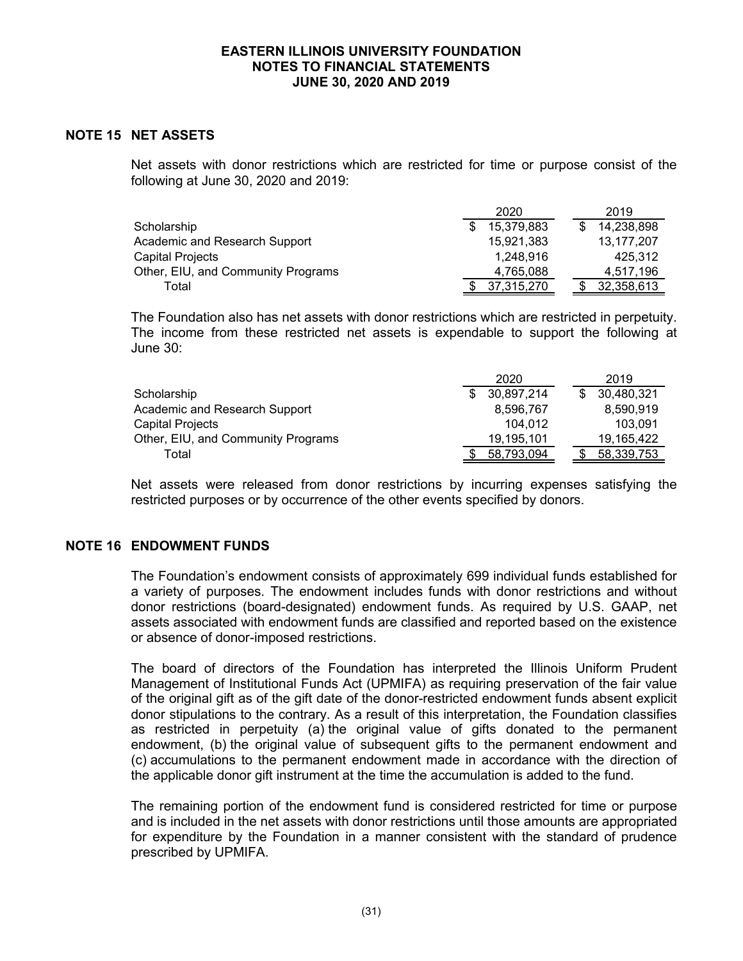# **NOTE 15 NET ASSETS**

Net assets with donor restrictions which are restricted for time or purpose consist of the following at June 30, 2020 and 2019:

|                                    | 2020       | 2019       |
|------------------------------------|------------|------------|
| Scholarship                        | 15,379,883 | 14,238,898 |
| Academic and Research Support      | 15,921,383 | 13,177,207 |
| Capital Projects                   | 1.248.916  | 425.312    |
| Other, EIU, and Community Programs | 4,765,088  | 4,517,196  |
| Total                              | 37.315.270 | 32,358,613 |

The Foundation also has net assets with donor restrictions which are restricted in perpetuity. The income from these restricted net assets is expendable to support the following at June 30:

|                                    | 2020       | 2019       |
|------------------------------------|------------|------------|
| Scholarship                        | 30,897,214 | 30,480,321 |
| Academic and Research Support      | 8,596,767  | 8,590,919  |
| Capital Projects                   | 104.012    | 103.091    |
| Other, EIU, and Community Programs | 19,195,101 | 19,165,422 |
| Total                              | 58,793,094 | 58,339,753 |

Net assets were released from donor restrictions by incurring expenses satisfying the restricted purposes or by occurrence of the other events specified by donors.

#### **NOTE 16 ENDOWMENT FUNDS**

The Foundation's endowment consists of approximately 699 individual funds established for a variety of purposes. The endowment includes funds with donor restrictions and without donor restrictions (board-designated) endowment funds. As required by U.S. GAAP, net assets associated with endowment funds are classified and reported based on the existence or absence of donor-imposed restrictions.

The board of directors of the Foundation has interpreted the Illinois Uniform Prudent Management of Institutional Funds Act (UPMIFA) as requiring preservation of the fair value of the original gift as of the gift date of the donor-restricted endowment funds absent explicit donor stipulations to the contrary. As a result of this interpretation, the Foundation classifies as restricted in perpetuity (a) the original value of gifts donated to the permanent endowment, (b) the original value of subsequent gifts to the permanent endowment and (c) accumulations to the permanent endowment made in accordance with the direction of the applicable donor gift instrument at the time the accumulation is added to the fund.

The remaining portion of the endowment fund is considered restricted for time or purpose and is included in the net assets with donor restrictions until those amounts are appropriated for expenditure by the Foundation in a manner consistent with the standard of prudence prescribed by UPMIFA.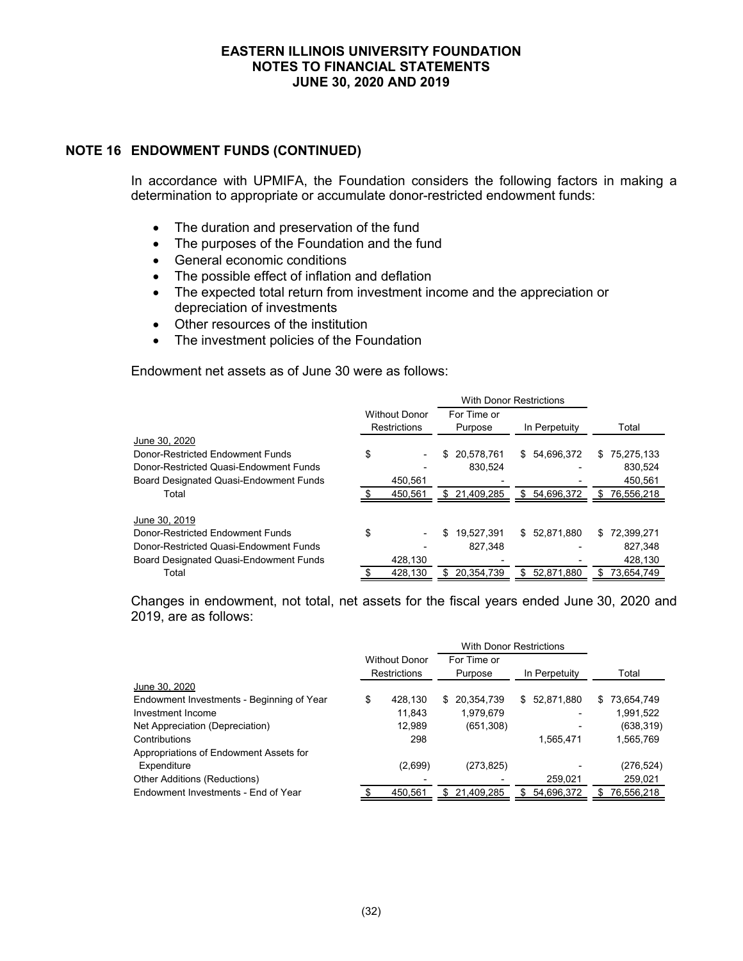## **NOTE 16 ENDOWMENT FUNDS (CONTINUED)**

In accordance with UPMIFA, the Foundation considers the following factors in making a determination to appropriate or accumulate donor-restricted endowment funds:

- The duration and preservation of the fund
- The purposes of the Foundation and the fund
- General economic conditions
- The possible effect of inflation and deflation
- The expected total return from investment income and the appreciation or depreciation of investments
- Other resources of the institution
- The investment policies of the Foundation

Endowment net assets as of June 30 were as follows:

|                                               |                      |     | <b>With Donor Restrictions</b> |    |               |    |            |
|-----------------------------------------------|----------------------|-----|--------------------------------|----|---------------|----|------------|
|                                               | <b>Without Donor</b> |     | For Time or                    |    |               |    |            |
|                                               | <b>Restrictions</b>  |     | Purpose                        |    | In Perpetuity |    | Total      |
| June 30, 2020                                 |                      |     |                                |    |               |    |            |
| Donor-Restricted Endowment Funds              | \$                   |     | \$20.578.761                   | \$ | 54.696.372    | \$ | 75,275,133 |
| Donor-Restricted Quasi-Endowment Funds        |                      |     | 830.524                        |    |               |    | 830.524    |
| <b>Board Designated Quasi-Endowment Funds</b> | 450.561              |     |                                |    |               |    | 450.561    |
| Total                                         | 450,561              |     | \$ 21,409,285                  | \$ | 54,696,372    | \$ | 76,556,218 |
|                                               |                      |     |                                |    |               |    |            |
| June 30, 2019                                 |                      |     |                                |    |               |    |            |
| Donor-Restricted Endowment Funds              | \$                   | \$  | 19.527.391                     |    | \$52,871,880  | \$ | 72,399,271 |
| Donor-Restricted Quasi-Endowment Funds        |                      |     | 827.348                        |    |               |    | 827,348    |
| <b>Board Designated Quasi-Endowment Funds</b> | 428,130              |     |                                |    |               |    | 428,130    |
| Total                                         | 428,130              | \$. | 20.354.739                     | \$ | 52,871,880    | S  | 73,654,749 |

Changes in endowment, not total, net assets for the fiscal years ended June 30, 2020 and 2019, are as follows:

|                                           |                                             | <b>With Donor Restrictions</b> |                        |            |               |              |    |            |
|-------------------------------------------|---------------------------------------------|--------------------------------|------------------------|------------|---------------|--------------|----|------------|
|                                           | <b>Without Donor</b><br><b>Restrictions</b> |                                | For Time or<br>Purpose |            | In Perpetuity |              |    | Total      |
| June 30, 2020                             |                                             |                                |                        |            |               |              |    |            |
| Endowment Investments - Beginning of Year | \$                                          | 428.130                        | S.                     | 20,354,739 |               | \$52,871,880 | S. | 73,654,749 |
| Investment Income                         |                                             | 11,843                         |                        | 1,979,679  |               |              |    | 1,991,522  |
| Net Appreciation (Depreciation)           |                                             | 12.989                         |                        | (651, 308) |               |              |    | (638, 319) |
| Contributions                             |                                             | 298                            |                        |            |               | 1,565,471    |    | 1,565,769  |
| Appropriations of Endowment Assets for    |                                             |                                |                        |            |               |              |    |            |
| Expenditure                               |                                             | (2,699)                        |                        | (273, 825) |               |              |    | (276, 524) |
| <b>Other Additions (Reductions)</b>       |                                             |                                |                        |            |               | 259,021      |    | 259,021    |
| Endowment Investments - End of Year       |                                             | 450.561                        | S.                     | 21,409,285 |               | 54,696,372   |    | 76,556,218 |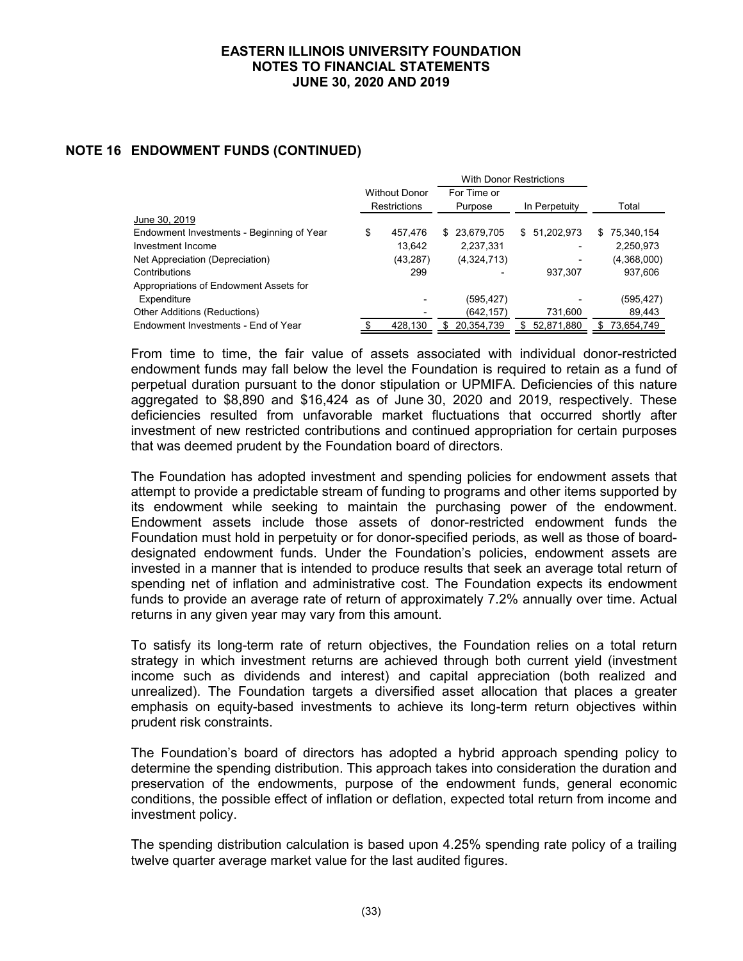# **NOTE 16 ENDOWMENT FUNDS (CONTINUED)**

|                                           |                      |           | <b>With Donor Restrictions</b> |              |               |              |   |             |
|-------------------------------------------|----------------------|-----------|--------------------------------|--------------|---------------|--------------|---|-------------|
|                                           | <b>Without Donor</b> |           |                                | For Time or  |               |              |   |             |
|                                           | <b>Restrictions</b>  |           | Purpose                        |              | In Perpetuity |              |   | Total       |
| June 30, 2019                             |                      |           |                                |              |               |              |   |             |
| Endowment Investments - Beginning of Year | \$                   | 457.476   |                                | \$23,679,705 |               | \$51,202,973 | S | 75,340,154  |
| Investment Income                         |                      | 13.642    |                                | 2,237,331    |               |              |   | 2,250,973   |
| Net Appreciation (Depreciation)           |                      | (43, 287) |                                | (4,324,713)  |               |              |   | (4,368,000) |
| Contributions                             |                      | 299       |                                |              |               | 937,307      |   | 937,606     |
| Appropriations of Endowment Assets for    |                      |           |                                |              |               |              |   |             |
| Expenditure                               |                      |           |                                | (595, 427)   |               |              |   | (595, 427)  |
| <b>Other Additions (Reductions)</b>       |                      |           |                                | (642, 157)   |               | 731,600      |   | 89,443      |
| Endowment Investments - End of Year       |                      | 428.130   | S.                             | 20,354,739   |               | 52,871,880   | S | 73.654.749  |

From time to time, the fair value of assets associated with individual donor-restricted endowment funds may fall below the level the Foundation is required to retain as a fund of perpetual duration pursuant to the donor stipulation or UPMIFA. Deficiencies of this nature aggregated to \$8,890 and \$16,424 as of June 30, 2020 and 2019, respectively. These deficiencies resulted from unfavorable market fluctuations that occurred shortly after investment of new restricted contributions and continued appropriation for certain purposes that was deemed prudent by the Foundation board of directors.

The Foundation has adopted investment and spending policies for endowment assets that attempt to provide a predictable stream of funding to programs and other items supported by its endowment while seeking to maintain the purchasing power of the endowment. Endowment assets include those assets of donor-restricted endowment funds the Foundation must hold in perpetuity or for donor-specified periods, as well as those of boarddesignated endowment funds. Under the Foundation's policies, endowment assets are invested in a manner that is intended to produce results that seek an average total return of spending net of inflation and administrative cost. The Foundation expects its endowment funds to provide an average rate of return of approximately 7.2% annually over time. Actual returns in any given year may vary from this amount.

To satisfy its long-term rate of return objectives, the Foundation relies on a total return strategy in which investment returns are achieved through both current yield (investment income such as dividends and interest) and capital appreciation (both realized and unrealized). The Foundation targets a diversified asset allocation that places a greater emphasis on equity-based investments to achieve its long-term return objectives within prudent risk constraints.

The Foundation's board of directors has adopted a hybrid approach spending policy to determine the spending distribution. This approach takes into consideration the duration and preservation of the endowments, purpose of the endowment funds, general economic conditions, the possible effect of inflation or deflation, expected total return from income and investment policy.

The spending distribution calculation is based upon 4.25% spending rate policy of a trailing twelve quarter average market value for the last audited figures.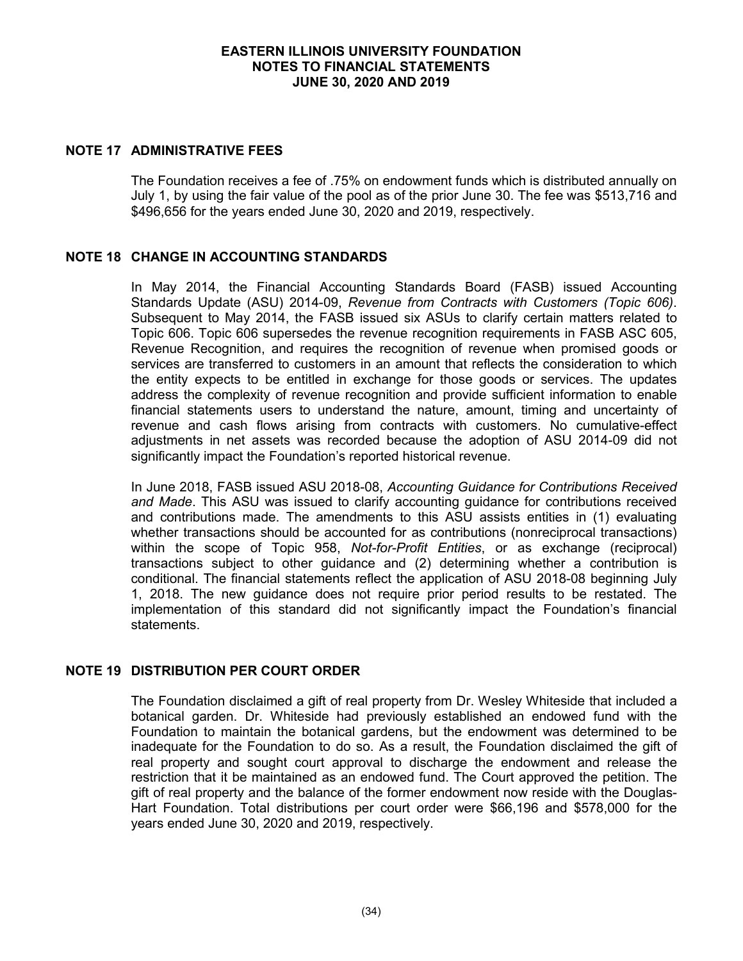## **NOTE 17 ADMINISTRATIVE FEES**

The Foundation receives a fee of .75% on endowment funds which is distributed annually on July 1, by using the fair value of the pool as of the prior June 30. The fee was \$513,716 and \$496,656 for the years ended June 30, 2020 and 2019, respectively.

# **NOTE 18 CHANGE IN ACCOUNTING STANDARDS**

In May 2014, the Financial Accounting Standards Board (FASB) issued Accounting Standards Update (ASU) 2014-09, *Revenue from Contracts with Customers (Topic 606)*. Subsequent to May 2014, the FASB issued six ASUs to clarify certain matters related to Topic 606. Topic 606 supersedes the revenue recognition requirements in FASB ASC 605, Revenue Recognition, and requires the recognition of revenue when promised goods or services are transferred to customers in an amount that reflects the consideration to which the entity expects to be entitled in exchange for those goods or services. The updates address the complexity of revenue recognition and provide sufficient information to enable financial statements users to understand the nature, amount, timing and uncertainty of revenue and cash flows arising from contracts with customers. No cumulative-effect adjustments in net assets was recorded because the adoption of ASU 2014-09 did not significantly impact the Foundation's reported historical revenue.

In June 2018, FASB issued ASU 2018-08, *Accounting Guidance for Contributions Received and Made*. This ASU was issued to clarify accounting guidance for contributions received and contributions made. The amendments to this ASU assists entities in (1) evaluating whether transactions should be accounted for as contributions (nonreciprocal transactions) within the scope of Topic 958, *Not-for-Profit Entities*, or as exchange (reciprocal) transactions subject to other guidance and (2) determining whether a contribution is conditional. The financial statements reflect the application of ASU 2018-08 beginning July 1, 2018. The new guidance does not require prior period results to be restated. The implementation of this standard did not significantly impact the Foundation's financial statements.

#### **NOTE 19 DISTRIBUTION PER COURT ORDER**

The Foundation disclaimed a gift of real property from Dr. Wesley Whiteside that included a botanical garden. Dr. Whiteside had previously established an endowed fund with the Foundation to maintain the botanical gardens, but the endowment was determined to be inadequate for the Foundation to do so. As a result, the Foundation disclaimed the gift of real property and sought court approval to discharge the endowment and release the restriction that it be maintained as an endowed fund. The Court approved the petition. The gift of real property and the balance of the former endowment now reside with the Douglas-Hart Foundation. Total distributions per court order were \$66,196 and \$578,000 for the years ended June 30, 2020 and 2019, respectively.